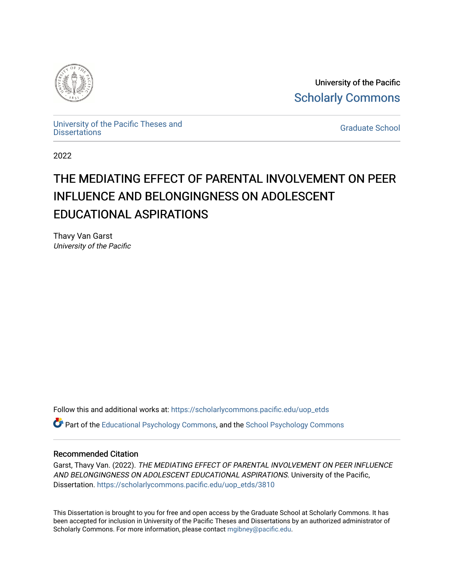

University of the Pacific [Scholarly Commons](https://scholarlycommons.pacific.edu/) 

[University of the Pacific Theses and](https://scholarlycommons.pacific.edu/uop_etds)  oniversity of the Pacific Theses and the control of the Control of [Graduate School](https://scholarlycommons.pacific.edu/graduate-school) Dissertations

2022

# THE MEDIATING EFFECT OF PARENTAL INVOLVEMENT ON PEER INFLUENCE AND BELONGINGNESS ON ADOLESCENT EDUCATIONAL ASPIRATIONS

Thavy Van Garst University of the Pacific

Follow this and additional works at: [https://scholarlycommons.pacific.edu/uop\\_etds](https://scholarlycommons.pacific.edu/uop_etds?utm_source=scholarlycommons.pacific.edu%2Fuop_etds%2F3810&utm_medium=PDF&utm_campaign=PDFCoverPages) 

**C** Part of the [Educational Psychology Commons,](https://network.bepress.com/hgg/discipline/798?utm_source=scholarlycommons.pacific.edu%2Fuop_etds%2F3810&utm_medium=PDF&utm_campaign=PDFCoverPages) and the [School Psychology Commons](https://network.bepress.com/hgg/discipline/1072?utm_source=scholarlycommons.pacific.edu%2Fuop_etds%2F3810&utm_medium=PDF&utm_campaign=PDFCoverPages)

#### Recommended Citation

Garst, Thavy Van. (2022). THE MEDIATING EFFECT OF PARENTAL INVOLVEMENT ON PEER INFLUENCE AND BELONGINGNESS ON ADOLESCENT EDUCATIONAL ASPIRATIONS. University of the Pacific, Dissertation. [https://scholarlycommons.pacific.edu/uop\\_etds/3810](https://scholarlycommons.pacific.edu/uop_etds/3810?utm_source=scholarlycommons.pacific.edu%2Fuop_etds%2F3810&utm_medium=PDF&utm_campaign=PDFCoverPages) 

This Dissertation is brought to you for free and open access by the Graduate School at Scholarly Commons. It has been accepted for inclusion in University of the Pacific Theses and Dissertations by an authorized administrator of Scholarly Commons. For more information, please contact [mgibney@pacific.edu.](mailto:mgibney@pacific.edu)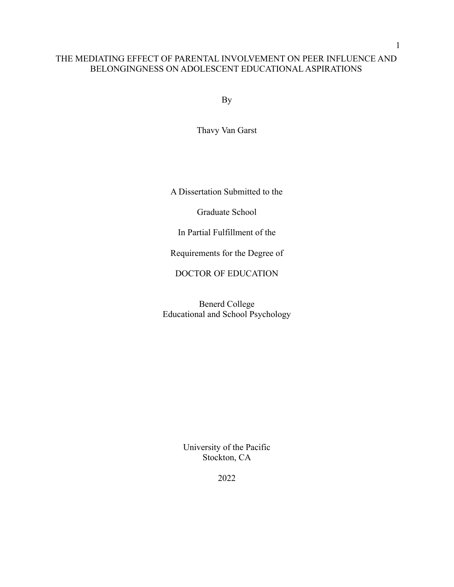# THE MEDIATING EFFECT OF PARENTAL INVOLVEMENT ON PEER INFLUENCE AND BELONGINGNESS ON ADOLESCENT EDUCATIONAL ASPIRATIONS

By

Thavy Van Garst

A Dissertation Submitted to the

Graduate School

In Partial Fulfillment of the

Requirements for the Degree of

DOCTOR OF EDUCATION

Benerd College Educational and School Psychology

> University of the Pacific Stockton, CA

1

2022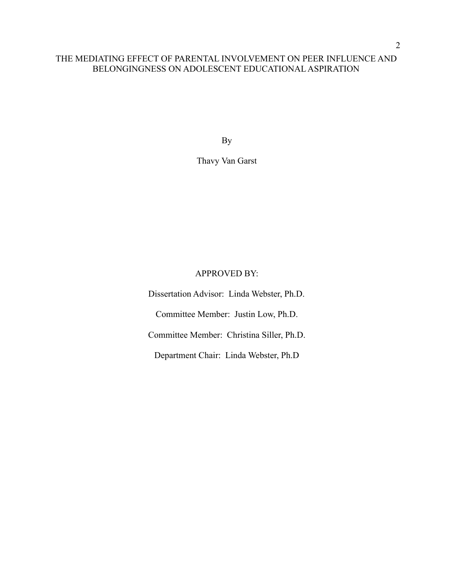# THE MEDIATING EFFECT OF PARENTAL INVOLVEMENT ON PEER INFLUENCE AND BELONGINGNESS ON ADOLESCENT EDUCATIONAL ASPIRATION

By

# Thavy Van Garst

# APPROVED BY:

Dissertation Advisor: Linda Webster, Ph.D. Committee Member: Justin Low, Ph.D. Committee Member: Christina Siller, Ph.D. Department Chair: Linda Webster, Ph.D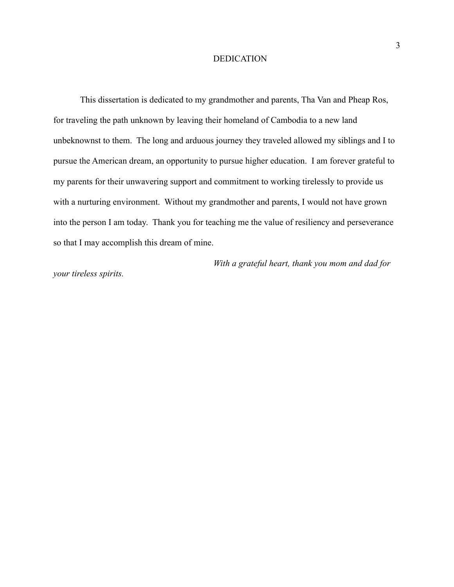#### DEDICATION

This dissertation is dedicated to my grandmother and parents, Tha Van and Pheap Ros, for traveling the path unknown by leaving their homeland of Cambodia to a new land unbeknownst to them. The long and arduous journey they traveled allowed my siblings and I to pursue the American dream, an opportunity to pursue higher education. I am forever grateful to my parents for their unwavering support and commitment to working tirelessly to provide us with a nurturing environment. Without my grandmother and parents, I would not have grown into the person I am today. Thank you for teaching me the value of resiliency and perseverance so that I may accomplish this dream of mine.

*With a grateful heart, thank you mom and dad for*

*your tireless spirits.*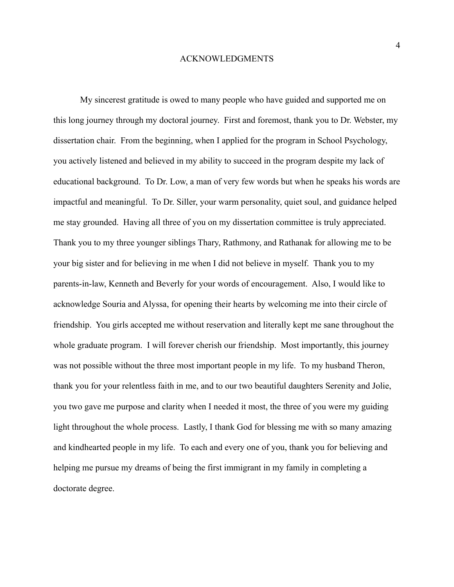#### ACKNOWLEDGMENTS

My sincerest gratitude is owed to many people who have guided and supported me on this long journey through my doctoral journey. First and foremost, thank you to Dr. Webster, my dissertation chair. From the beginning, when I applied for the program in School Psychology, you actively listened and believed in my ability to succeed in the program despite my lack of educational background. To Dr. Low, a man of very few words but when he speaks his words are impactful and meaningful. To Dr. Siller, your warm personality, quiet soul, and guidance helped me stay grounded. Having all three of you on my dissertation committee is truly appreciated. Thank you to my three younger siblings Thary, Rathmony, and Rathanak for allowing me to be your big sister and for believing in me when I did not believe in myself. Thank you to my parents-in-law, Kenneth and Beverly for your words of encouragement. Also, I would like to acknowledge Souria and Alyssa, for opening their hearts by welcoming me into their circle of friendship. You girls accepted me without reservation and literally kept me sane throughout the whole graduate program. I will forever cherish our friendship. Most importantly, this journey was not possible without the three most important people in my life. To my husband Theron, thank you for your relentless faith in me, and to our two beautiful daughters Serenity and Jolie, you two gave me purpose and clarity when I needed it most, the three of you were my guiding light throughout the whole process. Lastly, I thank God for blessing me with so many amazing and kindhearted people in my life. To each and every one of you, thank you for believing and helping me pursue my dreams of being the first immigrant in my family in completing a doctorate degree.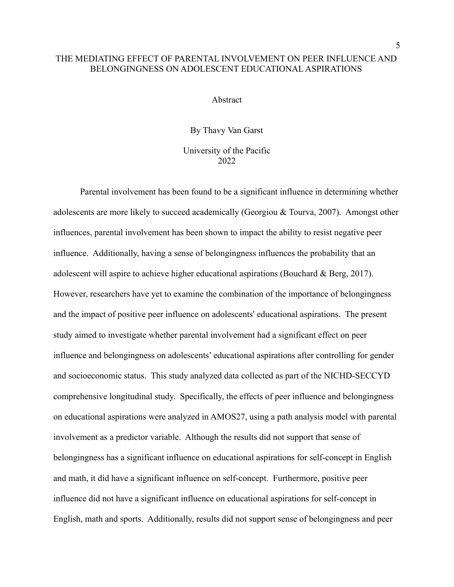## THE MEDIATING EFFECT OF PARENTAL INVOLVEMENT ON PEER INFLUENCE AND BELONGINGNESS ON ADOLESCENT EDUCATIONAL ASPIRATIONS

Abstract

By Thavy Van Garst University of the Pacific 2022

Parental involvement has been found to be a significant influence in determining whether adolescents are more likely to succeed academically (Georgiou & Tourva, 2007). Amongst other influences, parental involvement has been shown to impact the ability to resist negative peer influence. Additionally, having a sense of belongingness influences the probability that an adolescent will aspire to achieve higher educational aspirations (Bouchard & Berg, 2017). However, researchers have yet to examine the combination of the importance of belongingness and the impact of positive peer influence on adolescents' educational aspirations. The present study aimed to investigate whether parental involvement had a significant effect on peer influence and belongingness on adolescents' educational aspirations after controlling for gender and socioeconomic status. This study analyzed data collected as part of the NICHD-SECCYD comprehensive longitudinal study. Specifically, the effects of peer influence and belongingness on educational aspirations were analyzed in AMOS27, using a path analysis model with parental involvement as a predictor variable. Although the results did not support that sense of belongingness has a significant influence on educational aspirations for self-concept in English and math, it did have a significant influence on self-concept. Furthermore, positive peer influence did not have a significant influence on educational aspirations for self-concept in English, math and sports. Additionally, results did not support sense of belongingness and peer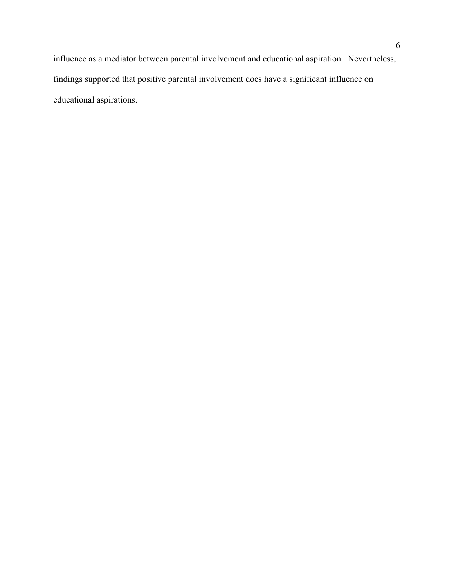influence as a mediator between parental involvement and educational aspiration. Nevertheless, findings supported that positive parental involvement does have a significant influence on educational aspirations.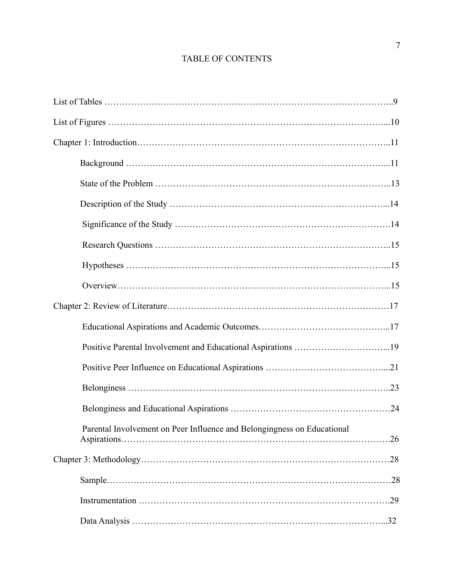# TABLE OF CONTENTS

| Parental Involvement on Peer Influence and Belongingness on Educational |     |
|-------------------------------------------------------------------------|-----|
|                                                                         |     |
|                                                                         |     |
|                                                                         | .29 |
|                                                                         |     |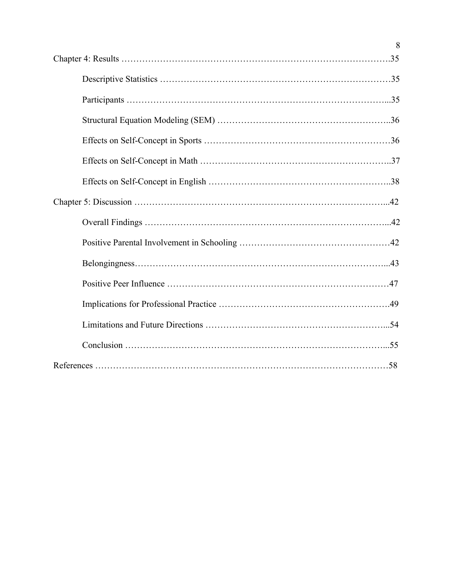| 8 |
|---|
|   |
|   |
|   |
|   |
|   |
|   |
|   |
|   |
|   |
|   |
|   |
|   |
|   |
|   |
|   |
|   |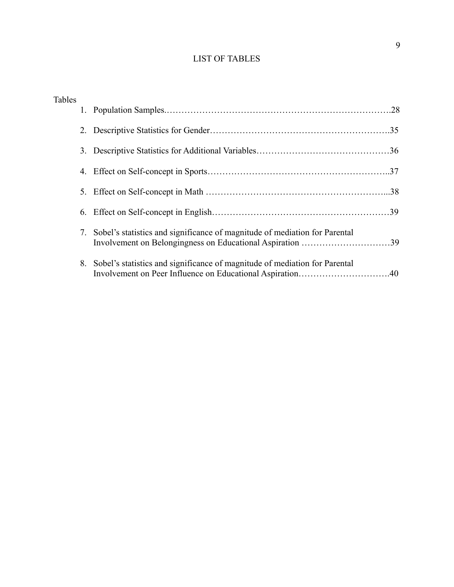# LIST OF TABLES

| <b>Tables</b> |    |                                                                            |  |
|---------------|----|----------------------------------------------------------------------------|--|
|               |    |                                                                            |  |
|               | 2. |                                                                            |  |
|               | 3. |                                                                            |  |
|               | 4. |                                                                            |  |
|               | 5. |                                                                            |  |
|               | 6. |                                                                            |  |
|               | 7. | Sobel's statistics and significance of magnitude of mediation for Parental |  |
|               | 8. | Sobel's statistics and significance of magnitude of mediation for Parental |  |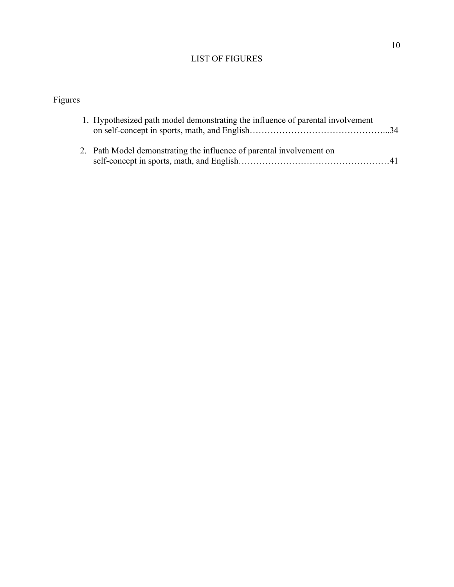# LIST OF FIGURES

# Figures

| 1. Hypothesized path model demonstrating the influence of parental involvement |  |
|--------------------------------------------------------------------------------|--|
| 2. Path Model demonstrating the influence of parental involvement on           |  |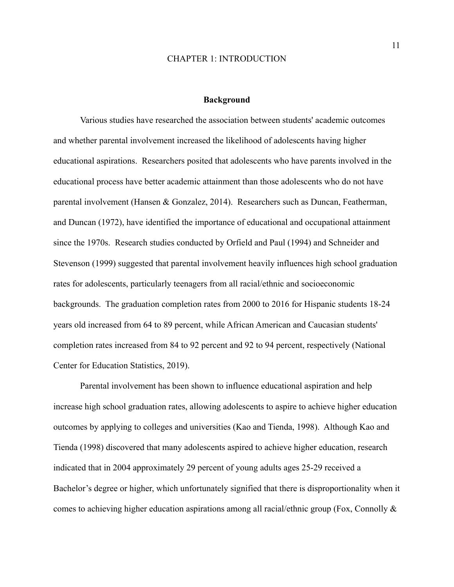#### CHAPTER 1: INTRODUCTION

#### **Background**

Various studies have researched the association between students' academic outcomes and whether parental involvement increased the likelihood of adolescents having higher educational aspirations. Researchers posited that adolescents who have parents involved in the educational process have better academic attainment than those adolescents who do not have parental involvement (Hansen & Gonzalez, 2014). Researchers such as Duncan, Featherman, and Duncan (1972), have identified the importance of educational and occupational attainment since the 1970s. Research studies conducted by Orfield and Paul (1994) and Schneider and Stevenson (1999) suggested that parental involvement heavily influences high school graduation rates for adolescents, particularly teenagers from all racial/ethnic and socioeconomic backgrounds. The graduation completion rates from 2000 to 2016 for Hispanic students 18-24 years old increased from 64 to 89 percent, while African American and Caucasian students' completion rates increased from 84 to 92 percent and 92 to 94 percent, respectively (National Center for Education Statistics, 2019).

Parental involvement has been shown to influence educational aspiration and help increase high school graduation rates, allowing adolescents to aspire to achieve higher education outcomes by applying to colleges and universities (Kao and Tienda, 1998). Although Kao and Tienda (1998) discovered that many adolescents aspired to achieve higher education, research indicated that in 2004 approximately 29 percent of young adults ages 25-29 received a Bachelor's degree or higher, which unfortunately signified that there is disproportionality when it comes to achieving higher education aspirations among all racial/ethnic group (Fox, Connolly &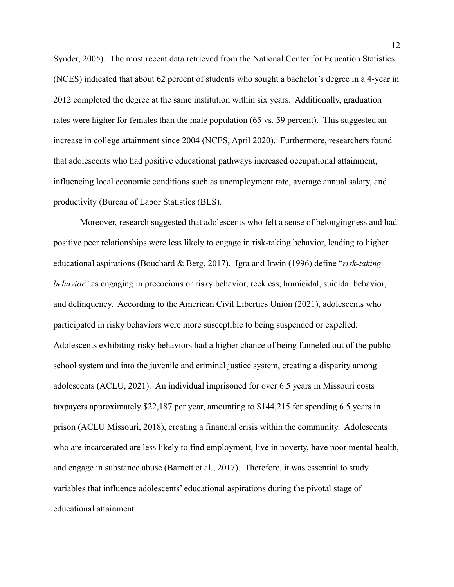Synder, 2005). The most recent data retrieved from the National Center for Education Statistics (NCES) indicated that about 62 percent of students who sought a bachelor's degree in a 4-year in 2012 completed the degree at the same institution within six years. Additionally, graduation rates were higher for females than the male population (65 vs. 59 percent). This suggested an increase in college attainment since 2004 (NCES, April 2020). Furthermore, researchers found that adolescents who had positive educational pathways increased occupational attainment, influencing local economic conditions such as unemployment rate, average annual salary, and productivity (Bureau of Labor Statistics (BLS).

Moreover, research suggested that adolescents who felt a sense of belongingness and had positive peer relationships were less likely to engage in risk-taking behavior, leading to higher educational aspirations (Bouchard & Berg, 2017). Igra and Irwin (1996) define "*risk-taking behavior*" as engaging in precocious or risky behavior, reckless, homicidal, suicidal behavior, and delinquency. According to the American Civil Liberties Union (2021), adolescents who participated in risky behaviors were more susceptible to being suspended or expelled. Adolescents exhibiting risky behaviors had a higher chance of being funneled out of the public school system and into the juvenile and criminal justice system, creating a disparity among adolescents (ACLU, 2021). An individual imprisoned for over 6.5 years in Missouri costs taxpayers approximately \$22,187 per year, amounting to \$144,215 for spending 6.5 years in prison (ACLU Missouri, 2018), creating a financial crisis within the community. Adolescents who are incarcerated are less likely to find employment, live in poverty, have poor mental health, and engage in substance abuse (Barnett et al., 2017). Therefore, it was essential to study variables that influence adolescents' educational aspirations during the pivotal stage of educational attainment.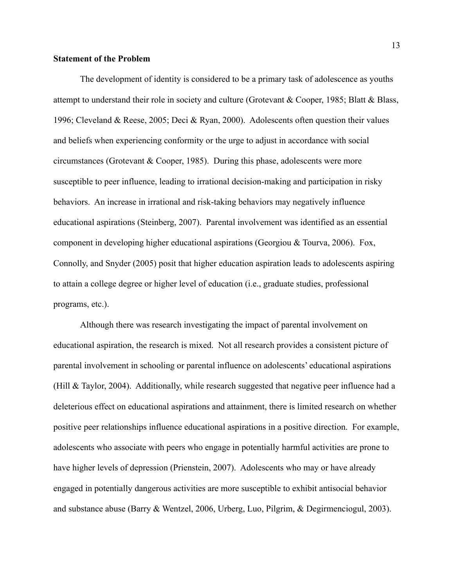#### **Statement of the Problem**

The development of identity is considered to be a primary task of adolescence as youths attempt to understand their role in society and culture (Grotevant & Cooper, 1985; Blatt & Blass, 1996; Cleveland & Reese, 2005; Deci & Ryan, 2000). Adolescents often question their values and beliefs when experiencing conformity or the urge to adjust in accordance with social circumstances (Grotevant & Cooper, 1985). During this phase, adolescents were more susceptible to peer influence, leading to irrational decision-making and participation in risky behaviors. An increase in irrational and risk-taking behaviors may negatively influence educational aspirations (Steinberg, 2007). Parental involvement was identified as an essential component in developing higher educational aspirations (Georgiou & Tourva, 2006). Fox, Connolly, and Snyder (2005) posit that higher education aspiration leads to adolescents aspiring to attain a college degree or higher level of education (i.e., graduate studies, professional programs, etc.).

Although there was research investigating the impact of parental involvement on educational aspiration, the research is mixed. Not all research provides a consistent picture of parental involvement in schooling or parental influence on adolescents' educational aspirations (Hill & Taylor, 2004). Additionally, while research suggested that negative peer influence had a deleterious effect on educational aspirations and attainment, there is limited research on whether positive peer relationships influence educational aspirations in a positive direction. For example, adolescents who associate with peers who engage in potentially harmful activities are prone to have higher levels of depression (Prienstein, 2007). Adolescents who may or have already engaged in potentially dangerous activities are more susceptible to exhibit antisocial behavior and substance abuse (Barry & Wentzel, 2006, Urberg, Luo, Pilgrim, & Degirmenciogul, 2003).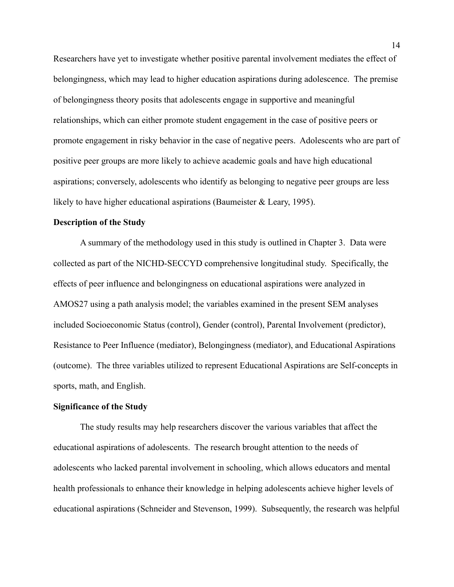Researchers have yet to investigate whether positive parental involvement mediates the effect of belongingness, which may lead to higher education aspirations during adolescence. The premise of belongingness theory posits that adolescents engage in supportive and meaningful relationships, which can either promote student engagement in the case of positive peers or promote engagement in risky behavior in the case of negative peers. Adolescents who are part of positive peer groups are more likely to achieve academic goals and have high educational aspirations; conversely, adolescents who identify as belonging to negative peer groups are less likely to have higher educational aspirations (Baumeister & Leary, 1995).

#### **Description of the Study**

A summary of the methodology used in this study is outlined in Chapter 3. Data were collected as part of the NICHD-SECCYD comprehensive longitudinal study. Specifically, the effects of peer influence and belongingness on educational aspirations were analyzed in AMOS27 using a path analysis model; the variables examined in the present SEM analyses included Socioeconomic Status (control), Gender (control), Parental Involvement (predictor), Resistance to Peer Influence (mediator), Belongingness (mediator), and Educational Aspirations (outcome). The three variables utilized to represent Educational Aspirations are Self-concepts in sports, math, and English.

#### **Significance of the Study**

The study results may help researchers discover the various variables that affect the educational aspirations of adolescents. The research brought attention to the needs of adolescents who lacked parental involvement in schooling, which allows educators and mental health professionals to enhance their knowledge in helping adolescents achieve higher levels of educational aspirations (Schneider and Stevenson, 1999). Subsequently, the research was helpful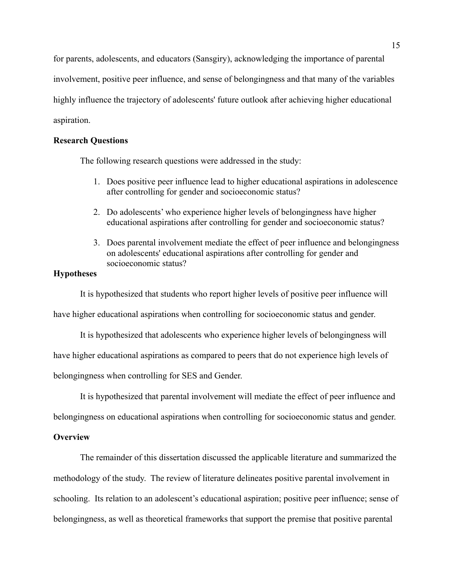for parents, adolescents, and educators (Sansgiry), acknowledging the importance of parental involvement, positive peer influence, and sense of belongingness and that many of the variables highly influence the trajectory of adolescents' future outlook after achieving higher educational aspiration.

#### **Research Questions**

The following research questions were addressed in the study:

- 1. Does positive peer influence lead to higher educational aspirations in adolescence after controlling for gender and socioeconomic status?
- 2. Do adolescents' who experience higher levels of belongingness have higher educational aspirations after controlling for gender and socioeconomic status?
- 3. Does parental involvement mediate the effect of peer influence and belongingness on adolescents' educational aspirations after controlling for gender and socioeconomic status?

# **Hypotheses**

It is hypothesized that students who report higher levels of positive peer influence will

have higher educational aspirations when controlling for socioeconomic status and gender.

It is hypothesized that adolescents who experience higher levels of belongingness will have higher educational aspirations as compared to peers that do not experience high levels of belongingness when controlling for SES and Gender.

It is hypothesized that parental involvement will mediate the effect of peer influence and

belongingness on educational aspirations when controlling for socioeconomic status and gender.

#### **Overview**

The remainder of this dissertation discussed the applicable literature and summarized the methodology of the study. The review of literature delineates positive parental involvement in schooling. Its relation to an adolescent's educational aspiration; positive peer influence; sense of belongingness, as well as theoretical frameworks that support the premise that positive parental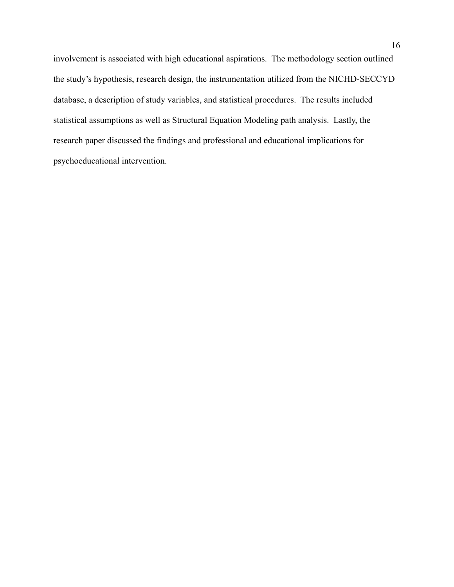involvement is associated with high educational aspirations. The methodology section outlined the study's hypothesis, research design, the instrumentation utilized from the NICHD-SECCYD database, a description of study variables, and statistical procedures. The results included statistical assumptions as well as Structural Equation Modeling path analysis. Lastly, the research paper discussed the findings and professional and educational implications for psychoeducational intervention.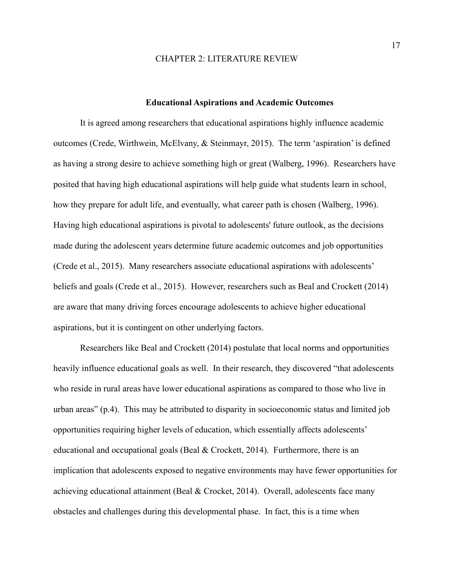#### CHAPTER 2: LITERATURE REVIEW

#### **Educational Aspirations and Academic Outcomes**

It is agreed among researchers that educational aspirations highly influence academic outcomes (Crede, Wirthwein, McElvany, & Steinmayr, 2015). The term 'aspiration' is defined as having a strong desire to achieve something high or great (Walberg, 1996). Researchers have posited that having high educational aspirations will help guide what students learn in school, how they prepare for adult life, and eventually, what career path is chosen (Walberg, 1996). Having high educational aspirations is pivotal to adolescents' future outlook, as the decisions made during the adolescent years determine future academic outcomes and job opportunities (Crede et al., 2015). Many researchers associate educational aspirations with adolescents' beliefs and goals (Crede et al., 2015). However, researchers such as Beal and Crockett (2014) are aware that many driving forces encourage adolescents to achieve higher educational aspirations, but it is contingent on other underlying factors.

Researchers like Beal and Crockett (2014) postulate that local norms and opportunities heavily influence educational goals as well. In their research, they discovered "that adolescents who reside in rural areas have lower educational aspirations as compared to those who live in urban areas" (p.4). This may be attributed to disparity in socioeconomic status and limited job opportunities requiring higher levels of education, which essentially affects adolescents' educational and occupational goals (Beal & Crockett, 2014). Furthermore, there is an implication that adolescents exposed to negative environments may have fewer opportunities for achieving educational attainment (Beal & Crocket, 2014). Overall, adolescents face many obstacles and challenges during this developmental phase. In fact, this is a time when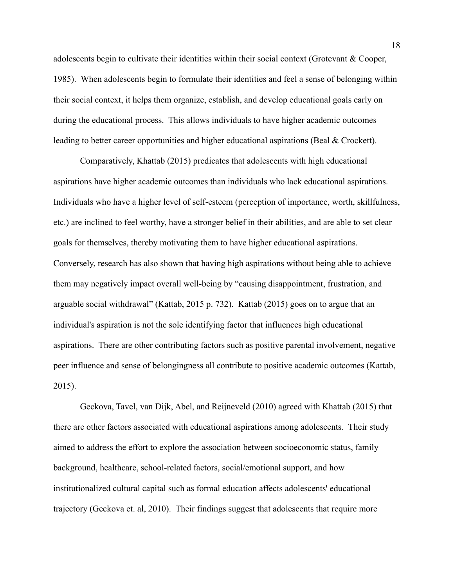adolescents begin to cultivate their identities within their social context (Grotevant & Cooper, 1985). When adolescents begin to formulate their identities and feel a sense of belonging within their social context, it helps them organize, establish, and develop educational goals early on during the educational process. This allows individuals to have higher academic outcomes leading to better career opportunities and higher educational aspirations (Beal & Crockett).

Comparatively, Khattab (2015) predicates that adolescents with high educational aspirations have higher academic outcomes than individuals who lack educational aspirations. Individuals who have a higher level of self-esteem (perception of importance, worth, skillfulness, etc.) are inclined to feel worthy, have a stronger belief in their abilities, and are able to set clear goals for themselves, thereby motivating them to have higher educational aspirations. Conversely, research has also shown that having high aspirations without being able to achieve them may negatively impact overall well-being by "causing disappointment, frustration, and arguable social withdrawal" (Kattab, 2015 p. 732). Kattab (2015) goes on to argue that an individual's aspiration is not the sole identifying factor that influences high educational aspirations. There are other contributing factors such as positive parental involvement, negative peer influence and sense of belongingness all contribute to positive academic outcomes (Kattab, 2015).

Geckova, Tavel, van Dijk, Abel, and Reijneveld (2010) agreed with Khattab (2015) that there are other factors associated with educational aspirations among adolescents. Their study aimed to address the effort to explore the association between socioeconomic status, family background, healthcare, school-related factors, social/emotional support, and how institutionalized cultural capital such as formal education affects adolescents' educational trajectory (Geckova et. al, 2010). Their findings suggest that adolescents that require more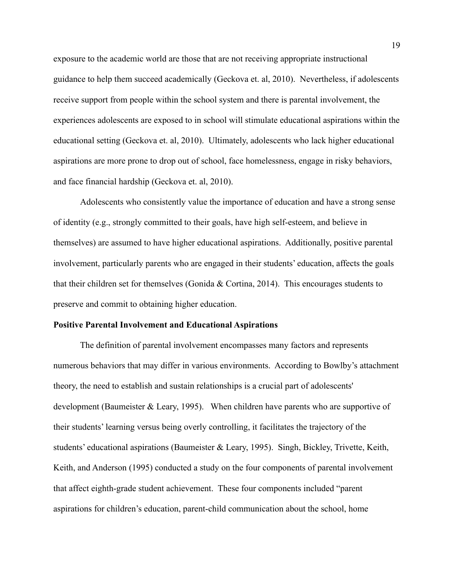exposure to the academic world are those that are not receiving appropriate instructional guidance to help them succeed academically (Geckova et. al, 2010). Nevertheless, if adolescents receive support from people within the school system and there is parental involvement, the experiences adolescents are exposed to in school will stimulate educational aspirations within the educational setting (Geckova et. al, 2010). Ultimately, adolescents who lack higher educational aspirations are more prone to drop out of school, face homelessness, engage in risky behaviors, and face financial hardship (Geckova et. al, 2010).

Adolescents who consistently value the importance of education and have a strong sense of identity (e.g., strongly committed to their goals, have high self-esteem, and believe in themselves) are assumed to have higher educational aspirations. Additionally, positive parental involvement, particularly parents who are engaged in their students' education, affects the goals that their children set for themselves (Gonida & Cortina, 2014). This encourages students to preserve and commit to obtaining higher education.

#### **Positive Parental Involvement and Educational Aspirations**

The definition of parental involvement encompasses many factors and represents numerous behaviors that may differ in various environments. According to Bowlby's attachment theory, the need to establish and sustain relationships is a crucial part of adolescents' development (Baumeister & Leary, 1995). When children have parents who are supportive of their students' learning versus being overly controlling, it facilitates the trajectory of the students' educational aspirations (Baumeister & Leary, 1995). Singh, Bickley, Trivette, Keith, Keith, and Anderson (1995) conducted a study on the four components of parental involvement that affect eighth-grade student achievement. These four components included "parent aspirations for children's education, parent-child communication about the school, home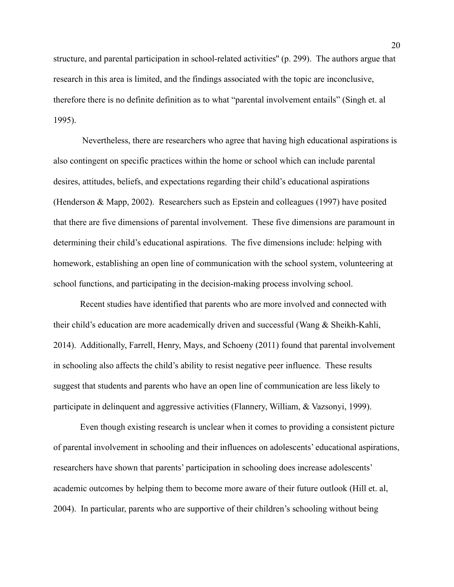structure, and parental participation in school-related activities'' (p. 299). The authors argue that research in this area is limited, and the findings associated with the topic are inconclusive, therefore there is no definite definition as to what "parental involvement entails" (Singh et. al 1995).

Nevertheless, there are researchers who agree that having high educational aspirations is also contingent on specific practices within the home or school which can include parental desires, attitudes, beliefs, and expectations regarding their child's educational aspirations (Henderson & Mapp, 2002). Researchers such as Epstein and colleagues (1997) have posited that there are five dimensions of parental involvement. These five dimensions are paramount in determining their child's educational aspirations. The five dimensions include: helping with homework, establishing an open line of communication with the school system, volunteering at school functions, and participating in the decision-making process involving school.

Recent studies have identified that parents who are more involved and connected with their child's education are more academically driven and successful (Wang & Sheikh-Kahli, 2014). Additionally, Farrell, Henry, Mays, and Schoeny (2011) found that parental involvement in schooling also affects the child's ability to resist negative peer influence. These results suggest that students and parents who have an open line of communication are less likely to participate in delinquent and aggressive activities (Flannery, William, & Vazsonyi, 1999).

Even though existing research is unclear when it comes to providing a consistent picture of parental involvement in schooling and their influences on adolescents' educational aspirations, researchers have shown that parents' participation in schooling does increase adolescents' academic outcomes by helping them to become more aware of their future outlook (Hill et. al, 2004). In particular, parents who are supportive of their children's schooling without being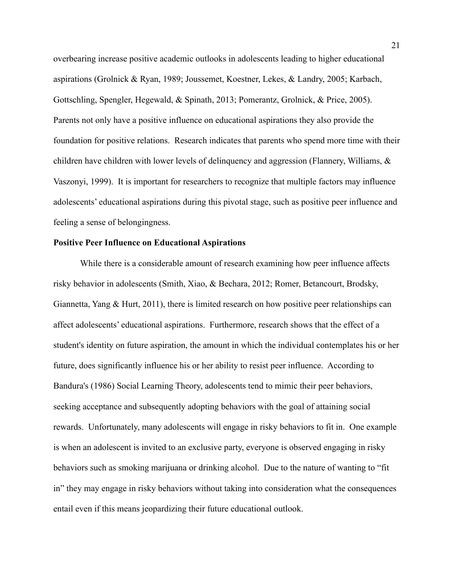overbearing increase positive academic outlooks in adolescents leading to higher educational aspirations (Grolnick & Ryan, 1989; Joussemet, Koestner, Lekes, & Landry, 2005; Karbach, Gottschling, Spengler, Hegewald, & Spinath, 2013; Pomerantz, Grolnick, & Price, 2005). Parents not only have a positive influence on educational aspirations they also provide the foundation for positive relations. Research indicates that parents who spend more time with their children have children with lower levels of delinquency and aggression (Flannery, Williams, & Vaszonyi, 1999). It is important for researchers to recognize that multiple factors may influence adolescents' educational aspirations during this pivotal stage, such as positive peer influence and feeling a sense of belongingness.

#### **Positive Peer Influence on Educational Aspirations**

While there is a considerable amount of research examining how peer influence affects risky behavior in adolescents (Smith, Xiao, & Bechara, 2012; Romer, Betancourt, Brodsky, Giannetta, Yang & Hurt, 2011), there is limited research on how positive peer relationships can affect adolescents' educational aspirations. Furthermore, research shows that the effect of a student's identity on future aspiration, the amount in which the individual contemplates his or her future, does significantly influence his or her ability to resist peer influence. According to Bandura's (1986) Social Learning Theory, adolescents tend to mimic their peer behaviors, seeking acceptance and subsequently adopting behaviors with the goal of attaining social rewards. Unfortunately, many adolescents will engage in risky behaviors to fit in. One example is when an adolescent is invited to an exclusive party, everyone is observed engaging in risky behaviors such as smoking marijuana or drinking alcohol. Due to the nature of wanting to "fit in" they may engage in risky behaviors without taking into consideration what the consequences entail even if this means jeopardizing their future educational outlook.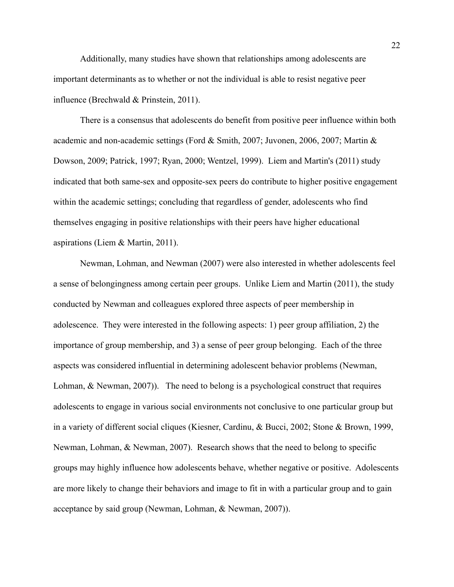Additionally, many studies have shown that relationships among adolescents are important determinants as to whether or not the individual is able to resist negative peer influence (Brechwald & Prinstein, 2011).

There is a consensus that adolescents do benefit from positive peer influence within both academic and non-academic settings (Ford & Smith, 2007; Juvonen, 2006, 2007; Martin & Dowson, 2009; Patrick, 1997; Ryan, 2000; Wentzel, 1999). Liem and Martin's (2011) study indicated that both same-sex and opposite-sex peers do contribute to higher positive engagement within the academic settings; concluding that regardless of gender, adolescents who find themselves engaging in positive relationships with their peers have higher educational aspirations (Liem & Martin, 2011).

Newman, Lohman, and Newman (2007) were also interested in whether adolescents feel a sense of belongingness among certain peer groups. Unlike Liem and Martin (2011), the study conducted by Newman and colleagues explored three aspects of peer membership in adolescence. They were interested in the following aspects: 1) peer group affiliation, 2) the importance of group membership, and 3) a sense of peer group belonging. Each of the three aspects was considered influential in determining adolescent behavior problems (Newman, Lohman, & Newman, 2007). The need to belong is a psychological construct that requires adolescents to engage in various social environments not conclusive to one particular group but in a variety of different social cliques (Kiesner, Cardinu, & Bucci, 2002; Stone & Brown, 1999, Newman, Lohman, & Newman, 2007). Research shows that the need to belong to specific groups may highly influence how adolescents behave, whether negative or positive. Adolescents are more likely to change their behaviors and image to fit in with a particular group and to gain acceptance by said group (Newman, Lohman, & Newman, 2007)).

22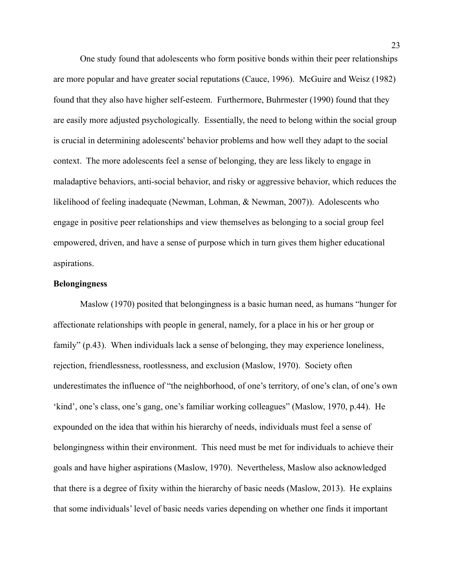One study found that adolescents who form positive bonds within their peer relationships are more popular and have greater social reputations (Cauce, 1996). McGuire and Weisz (1982) found that they also have higher self-esteem. Furthermore, Buhrmester (1990) found that they are easily more adjusted psychologically. Essentially, the need to belong within the social group is crucial in determining adolescents' behavior problems and how well they adapt to the social context. The more adolescents feel a sense of belonging, they are less likely to engage in maladaptive behaviors, anti-social behavior, and risky or aggressive behavior, which reduces the likelihood of feeling inadequate (Newman, Lohman, & Newman, 2007)). Adolescents who engage in positive peer relationships and view themselves as belonging to a social group feel empowered, driven, and have a sense of purpose which in turn gives them higher educational aspirations.

#### **Belongingness**

Maslow (1970) posited that belongingness is a basic human need, as humans "hunger for affectionate relationships with people in general, namely, for a place in his or her group or family" (p.43). When individuals lack a sense of belonging, they may experience loneliness, rejection, friendlessness, rootlessness, and exclusion (Maslow, 1970). Society often underestimates the influence of "the neighborhood, of one's territory, of one's clan, of one's own 'kind', one's class, one's gang, one's familiar working colleagues" (Maslow, 1970, p.44). He expounded on the idea that within his hierarchy of needs, individuals must feel a sense of belongingness within their environment. This need must be met for individuals to achieve their goals and have higher aspirations (Maslow, 1970). Nevertheless, Maslow also acknowledged that there is a degree of fixity within the hierarchy of basic needs (Maslow, 2013). He explains that some individuals' level of basic needs varies depending on whether one finds it important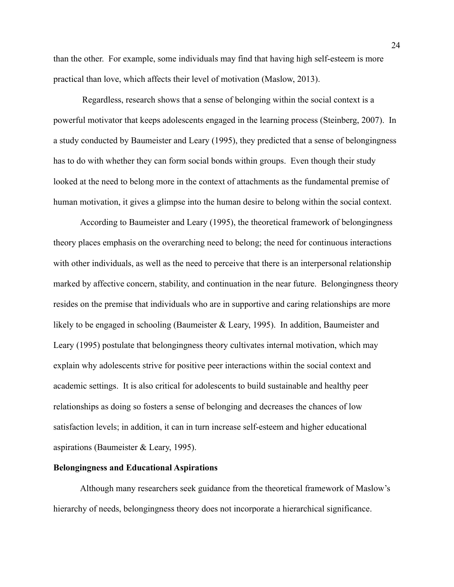than the other. For example, some individuals may find that having high self-esteem is more practical than love, which affects their level of motivation (Maslow, 2013).

Regardless, research shows that a sense of belonging within the social context is a powerful motivator that keeps adolescents engaged in the learning process (Steinberg, 2007). In a study conducted by Baumeister and Leary (1995), they predicted that a sense of belongingness has to do with whether they can form social bonds within groups. Even though their study looked at the need to belong more in the context of attachments as the fundamental premise of human motivation, it gives a glimpse into the human desire to belong within the social context.

According to Baumeister and Leary (1995), the theoretical framework of belongingness theory places emphasis on the overarching need to belong; the need for continuous interactions with other individuals, as well as the need to perceive that there is an interpersonal relationship marked by affective concern, stability, and continuation in the near future. Belongingness theory resides on the premise that individuals who are in supportive and caring relationships are more likely to be engaged in schooling (Baumeister & Leary, 1995). In addition, Baumeister and Leary (1995) postulate that belongingness theory cultivates internal motivation, which may explain why adolescents strive for positive peer interactions within the social context and academic settings. It is also critical for adolescents to build sustainable and healthy peer relationships as doing so fosters a sense of belonging and decreases the chances of low satisfaction levels; in addition, it can in turn increase self-esteem and higher educational aspirations (Baumeister & Leary, 1995).

#### **Belongingness and Educational Aspirations**

Although many researchers seek guidance from the theoretical framework of Maslow's hierarchy of needs, belongingness theory does not incorporate a hierarchical significance.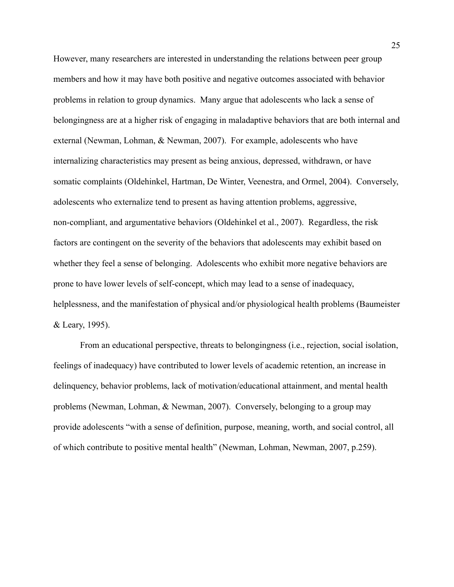However, many researchers are interested in understanding the relations between peer group members and how it may have both positive and negative outcomes associated with behavior problems in relation to group dynamics. Many argue that adolescents who lack a sense of belongingness are at a higher risk of engaging in maladaptive behaviors that are both internal and external (Newman, Lohman, & Newman, 2007). For example, adolescents who have internalizing characteristics may present as being anxious, depressed, withdrawn, or have somatic complaints (Oldehinkel, Hartman, De Winter, Veenestra, and Ormel, 2004). Conversely, adolescents who externalize tend to present as having attention problems, aggressive, non-compliant, and argumentative behaviors (Oldehinkel et al., 2007). Regardless, the risk factors are contingent on the severity of the behaviors that adolescents may exhibit based on whether they feel a sense of belonging. Adolescents who exhibit more negative behaviors are prone to have lower levels of self-concept, which may lead to a sense of inadequacy, helplessness, and the manifestation of physical and/or physiological health problems (Baumeister & Leary, 1995).

From an educational perspective, threats to belongingness (i.e., rejection, social isolation, feelings of inadequacy) have contributed to lower levels of academic retention, an increase in delinquency, behavior problems, lack of motivation/educational attainment, and mental health problems (Newman, Lohman, & Newman, 2007). Conversely, belonging to a group may provide adolescents "with a sense of definition, purpose, meaning, worth, and social control, all of which contribute to positive mental health" (Newman, Lohman, Newman, 2007, p.259).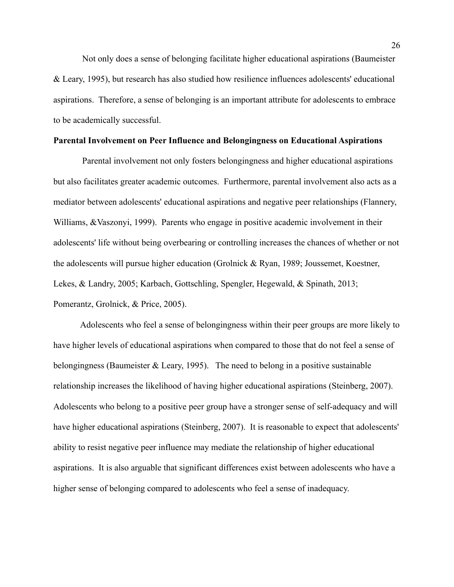Not only does a sense of belonging facilitate higher educational aspirations (Baumeister & Leary, 1995), but research has also studied how resilience influences adolescents' educational aspirations. Therefore, a sense of belonging is an important attribute for adolescents to embrace to be academically successful.

#### **Parental Involvement on Peer Influence and Belongingness on Educational Aspirations**

Parental involvement not only fosters belongingness and higher educational aspirations but also facilitates greater academic outcomes. Furthermore, parental involvement also acts as a mediator between adolescents' educational aspirations and negative peer relationships (Flannery, Williams, &Vaszonyi, 1999). Parents who engage in positive academic involvement in their adolescents' life without being overbearing or controlling increases the chances of whether or not the adolescents will pursue higher education (Grolnick & Ryan, 1989; Joussemet, Koestner, Lekes, & Landry, 2005; Karbach, Gottschling, Spengler, Hegewald, & Spinath, 2013; Pomerantz, Grolnick, & Price, 2005).

Adolescents who feel a sense of belongingness within their peer groups are more likely to have higher levels of educational aspirations when compared to those that do not feel a sense of belongingness (Baumeister & Leary, 1995). The need to belong in a positive sustainable relationship increases the likelihood of having higher educational aspirations (Steinberg, 2007). Adolescents who belong to a positive peer group have a stronger sense of self-adequacy and will have higher educational aspirations (Steinberg, 2007). It is reasonable to expect that adolescents' ability to resist negative peer influence may mediate the relationship of higher educational aspirations. It is also arguable that significant differences exist between adolescents who have a higher sense of belonging compared to adolescents who feel a sense of inadequacy.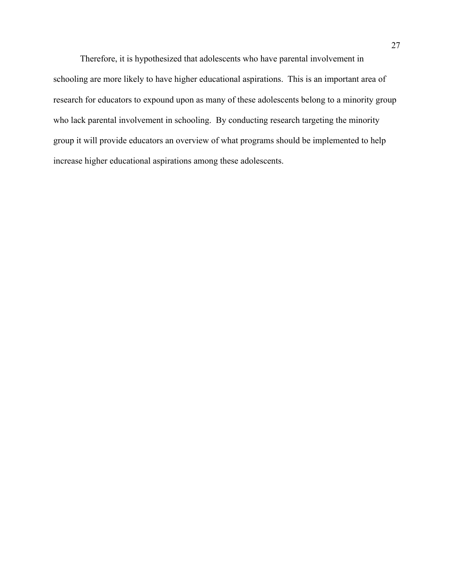Therefore, it is hypothesized that adolescents who have parental involvement in schooling are more likely to have higher educational aspirations. This is an important area of research for educators to expound upon as many of these adolescents belong to a minority group who lack parental involvement in schooling. By conducting research targeting the minority group it will provide educators an overview of what programs should be implemented to help increase higher educational aspirations among these adolescents.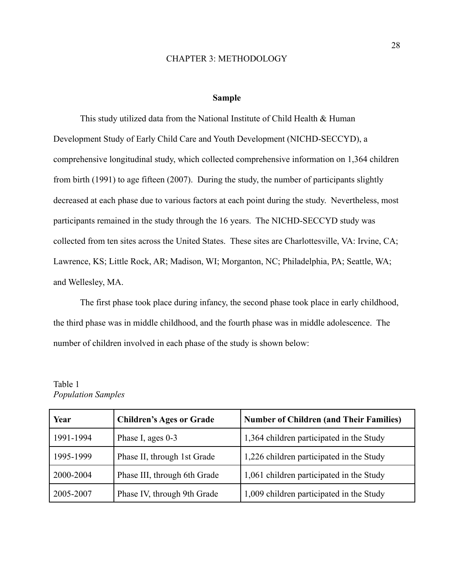#### CHAPTER 3: METHODOLOGY

#### **Sample**

This study utilized data from the National Institute of Child Health & Human Development Study of Early Child Care and Youth Development (NICHD-SECCYD), a comprehensive longitudinal study, which collected comprehensive information on 1,364 children from birth (1991) to age fifteen (2007). During the study, the number of participants slightly decreased at each phase due to various factors at each point during the study. Nevertheless, most participants remained in the study through the 16 years. The NICHD-SECCYD study was collected from ten sites across the United States. These sites are Charlottesville, VA: Irvine, CA; Lawrence, KS; Little Rock, AR; Madison, WI; Morganton, NC; Philadelphia, PA; Seattle, WA; and Wellesley, MA.

The first phase took place during infancy, the second phase took place in early childhood, the third phase was in middle childhood, and the fourth phase was in middle adolescence. The number of children involved in each phase of the study is shown below:

| Year      | <b>Children's Ages or Grade</b> | <b>Number of Children (and Their Families)</b> |
|-----------|---------------------------------|------------------------------------------------|
| 1991-1994 | Phase I, ages 0-3               | 1,364 children participated in the Study       |
| 1995-1999 | Phase II, through 1st Grade     | 1,226 children participated in the Study       |
| 2000-2004 | Phase III, through 6th Grade    | 1,061 children participated in the Study       |
| 2005-2007 | Phase IV, through 9th Grade     | 1,009 children participated in the Study       |

# Table 1 *Population Samples*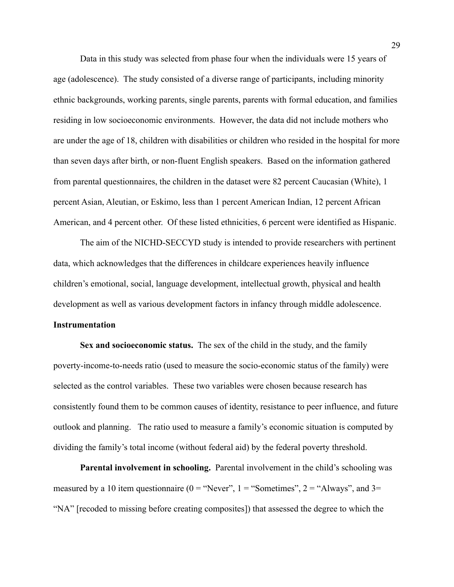Data in this study was selected from phase four when the individuals were 15 years of age (adolescence). The study consisted of a diverse range of participants, including minority ethnic backgrounds, working parents, single parents, parents with formal education, and families residing in low socioeconomic environments. However, the data did not include mothers who are under the age of 18, children with disabilities or children who resided in the hospital for more than seven days after birth, or non-fluent English speakers. Based on the information gathered from parental questionnaires, the children in the dataset were 82 percent Caucasian (White), 1 percent Asian, Aleutian, or Eskimo, less than 1 percent American Indian, 12 percent African American, and 4 percent other. Of these listed ethnicities, 6 percent were identified as Hispanic.

The aim of the NICHD-SECCYD study is intended to provide researchers with pertinent data, which acknowledges that the differences in childcare experiences heavily influence children's emotional, social, language development, intellectual growth, physical and health development as well as various development factors in infancy through middle adolescence.

#### **Instrumentation**

**Sex and socioeconomic status.** The sex of the child in the study, and the family poverty-income-to-needs ratio (used to measure the socio-economic status of the family) were selected as the control variables. These two variables were chosen because research has consistently found them to be common causes of identity, resistance to peer influence, and future outlook and planning. The ratio used to measure a family's economic situation is computed by dividing the family's total income (without federal aid) by the federal poverty threshold.

**Parental involvement in schooling.** Parental involvement in the child's schooling was measured by a 10 item questionnaire ( $0 =$  "Never",  $1 =$  "Sometimes",  $2 =$  "Always", and  $3=$ "NA" [recoded to missing before creating composites]) that assessed the degree to which the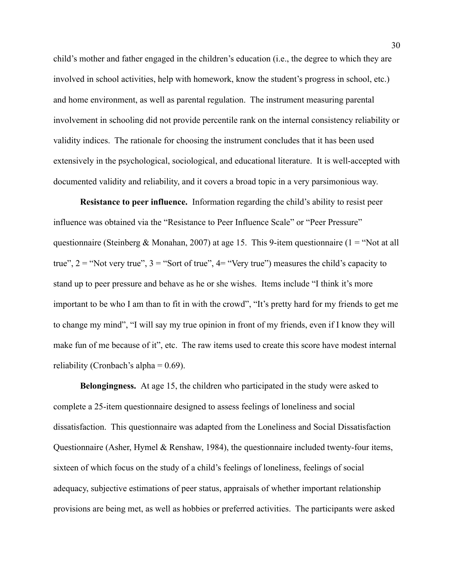child's mother and father engaged in the children's education (i.e., the degree to which they are involved in school activities, help with homework, know the student's progress in school, etc.) and home environment, as well as parental regulation. The instrument measuring parental involvement in schooling did not provide percentile rank on the internal consistency reliability or validity indices. The rationale for choosing the instrument concludes that it has been used extensively in the psychological, sociological, and educational literature. It is well-accepted with documented validity and reliability, and it covers a broad topic in a very parsimonious way.

**Resistance to peer influence.** Information regarding the child's ability to resist peer influence was obtained via the "Resistance to Peer Influence Scale" or "Peer Pressure" questionnaire (Steinberg & Monahan, 2007) at age 15. This 9-item questionnaire (1 = "Not at all true",  $2 =$  "Not very true",  $3 =$  "Sort of true",  $4 =$  "Very true") measures the child's capacity to stand up to peer pressure and behave as he or she wishes. Items include "I think it's more important to be who I am than to fit in with the crowd", "It's pretty hard for my friends to get me to change my mind", "I will say my true opinion in front of my friends, even if I know they will make fun of me because of it", etc. The raw items used to create this score have modest internal reliability (Cronbach's alpha =  $0.69$ ).

**Belongingness.** At age 15, the children who participated in the study were asked to complete a 25-item questionnaire designed to assess feelings of loneliness and social dissatisfaction. This questionnaire was adapted from the Loneliness and Social Dissatisfaction Questionnaire (Asher, Hymel & Renshaw, 1984), the questionnaire included twenty-four items, sixteen of which focus on the study of a child's feelings of loneliness, feelings of social adequacy, subjective estimations of peer status, appraisals of whether important relationship provisions are being met, as well as hobbies or preferred activities. The participants were asked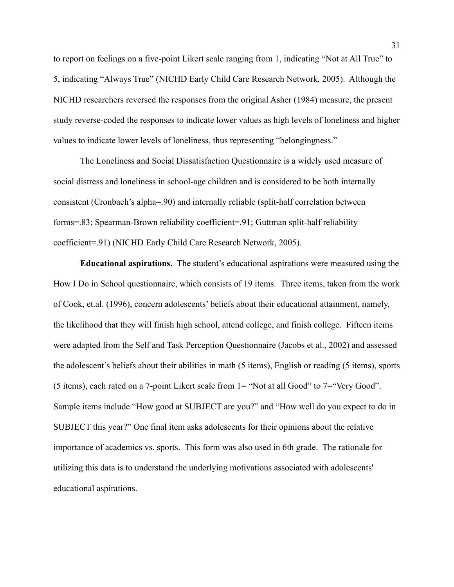to report on feelings on a five-point Likert scale ranging from 1, indicating "Not at All True" to 5, indicating "Always True" (NICHD Early Child Care Research Network, 2005). Although the NICHD researchers reversed the responses from the original Asher (1984) measure, the present study reverse-coded the responses to indicate lower values as high levels of loneliness and higher values to indicate lower levels of loneliness, thus representing "belongingness."

The Loneliness and Social Dissatisfaction Questionnaire is a widely used measure of social distress and loneliness in school-age children and is considered to be both internally consistent (Cronbach's alpha=.90) and internally reliable (split-half correlation between forms=.83; Spearman-Brown reliability coefficient=.91; Guttman split-half reliability coefficient=.91) (NICHD Early Child Care Research Network, 2005).

**Educational aspirations.** The student's educational aspirations were measured using the How I Do in School questionnaire, which consists of 19 items. Three items, taken from the work of Cook, et.al. (1996), concern adolescents' beliefs about their educational attainment, namely, the likelihood that they will finish high school, attend college, and finish college. Fifteen items were adapted from the Self and Task Perception Questionnaire (Jacobs et al., 2002) and assessed the adolescent's beliefs about their abilities in math (5 items), English or reading (5 items), sports (5 items), each rated on a 7-point Likert scale from 1= "Not at all Good" to 7="Very Good". Sample items include "How good at SUBJECT are you?" and "How well do you expect to do in SUBJECT this year?" One final item asks adolescents for their opinions about the relative importance of academics vs. sports. This form was also used in 6th grade. The rationale for utilizing this data is to understand the underlying motivations associated with adolescents' educational aspirations.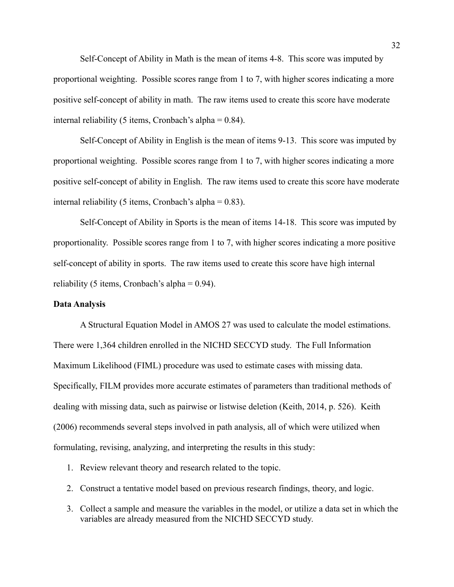Self-Concept of Ability in Math is the mean of items 4-8. This score was imputed by proportional weighting. Possible scores range from 1 to 7, with higher scores indicating a more positive self-concept of ability in math. The raw items used to create this score have moderate internal reliability (5 items, Cronbach's alpha  $= 0.84$ ).

Self-Concept of Ability in English is the mean of items 9-13. This score was imputed by proportional weighting. Possible scores range from 1 to 7, with higher scores indicating a more positive self-concept of ability in English. The raw items used to create this score have moderate internal reliability (5 items, Cronbach's alpha  $= 0.83$ ).

Self-Concept of Ability in Sports is the mean of items 14-18. This score was imputed by proportionality. Possible scores range from 1 to 7, with higher scores indicating a more positive self-concept of ability in sports. The raw items used to create this score have high internal reliability (5 items, Cronbach's alpha  $= 0.94$ ).

#### **Data Analysis**

A Structural Equation Model in AMOS 27 was used to calculate the model estimations. There were 1,364 children enrolled in the NICHD SECCYD study. The Full Information Maximum Likelihood (FIML) procedure was used to estimate cases with missing data. Specifically, FILM provides more accurate estimates of parameters than traditional methods of dealing with missing data, such as pairwise or listwise deletion (Keith, 2014, p. 526). Keith (2006) recommends several steps involved in path analysis, all of which were utilized when formulating, revising, analyzing, and interpreting the results in this study:

- 1. Review relevant theory and research related to the topic.
- 2. Construct a tentative model based on previous research findings, theory, and logic.
- 3. Collect a sample and measure the variables in the model, or utilize a data set in which the variables are already measured from the NICHD SECCYD study.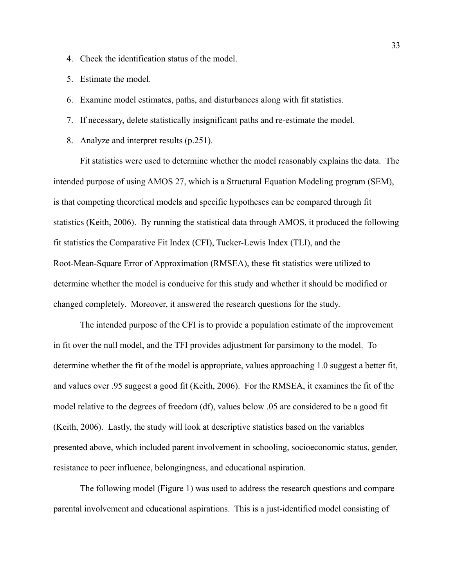- 4. Check the identification status of the model.
- 5. Estimate the model.
- 6. Examine model estimates, paths, and disturbances along with fit statistics.
- 7. If necessary, delete statistically insignificant paths and re-estimate the model.
- 8. Analyze and interpret results (p.251).

Fit statistics were used to determine whether the model reasonably explains the data. The intended purpose of using AMOS 27, which is a Structural Equation Modeling program (SEM), is that competing theoretical models and specific hypotheses can be compared through fit statistics (Keith, 2006). By running the statistical data through AMOS, it produced the following fit statistics the Comparative Fit Index (CFI), Tucker-Lewis Index (TLI), and the Root-Mean-Square Error of Approximation (RMSEA), these fit statistics were utilized to determine whether the model is conducive for this study and whether it should be modified or changed completely. Moreover, it answered the research questions for the study.

The intended purpose of the CFI is to provide a population estimate of the improvement in fit over the null model, and the TFI provides adjustment for parsimony to the model. To determine whether the fit of the model is appropriate, values approaching 1.0 suggest a better fit, and values over .95 suggest a good fit (Keith, 2006). For the RMSEA, it examines the fit of the model relative to the degrees of freedom (df), values below .05 are considered to be a good fit (Keith, 2006). Lastly, the study will look at descriptive statistics based on the variables presented above, which included parent involvement in schooling, socioeconomic status, gender, resistance to peer influence, belongingness, and educational aspiration.

The following model (Figure 1) was used to address the research questions and compare parental involvement and educational aspirations. This is a just-identified model consisting of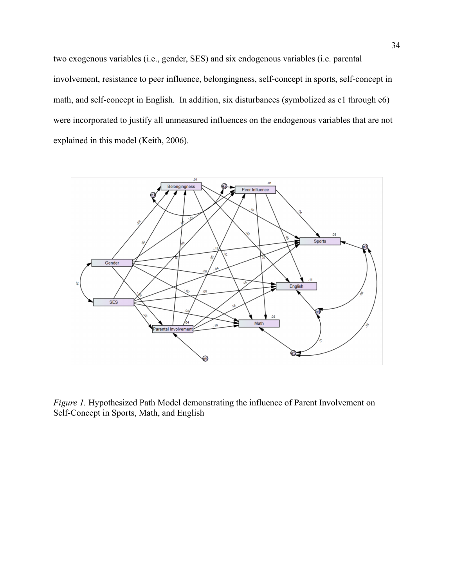two exogenous variables (i.e., gender, SES) and six endogenous variables (i.e. parental involvement, resistance to peer influence, belongingness, self-concept in sports, self-concept in math, and self-concept in English. In addition, six disturbances (symbolized as e1 through e6) were incorporated to justify all unmeasured influences on the endogenous variables that are not explained in this model (Keith, 2006).



*Figure 1.* Hypothesized Path Model demonstrating the influence of Parent Involvement on Self-Concept in Sports, Math, and English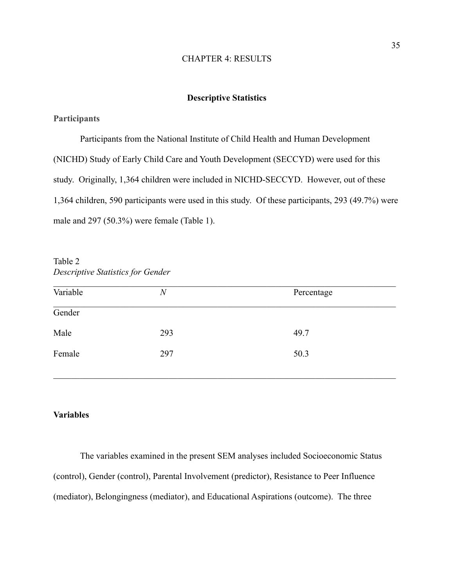#### CHAPTER 4: RESULTS

## **Descriptive Statistics**

## **Participants**

Participants from the National Institute of Child Health and Human Development (NICHD) Study of Early Child Care and Youth Development (SECCYD) were used for this study. Originally, 1,364 children were included in NICHD-SECCYD. However, out of these 1,364 children, 590 participants were used in this study. Of these participants, 293 (49.7%) were male and 297 (50.3%) were female (Table 1).

| Variable | $\boldsymbol{N}$ | Percentage |
|----------|------------------|------------|
| Gender   |                  |            |
| Male     | 293              | 49.7       |
| Female   | 297              | 50.3       |

Table 2 *Descriptive Statistics for Gender*

#### **Variables**

The variables examined in the present SEM analyses included Socioeconomic Status (control), Gender (control), Parental Involvement (predictor), Resistance to Peer Influence (mediator), Belongingness (mediator), and Educational Aspirations (outcome). The three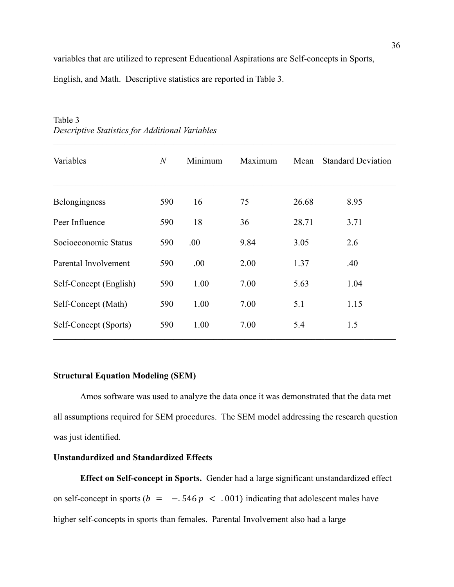variables that are utilized to represent Educational Aspirations are Self-concepts in Sports,

English, and Math. Descriptive statistics are reported in Table 3.

| Variables              | $\boldsymbol{N}$ | Minimum | Maximum | Mean  | <b>Standard Deviation</b> |
|------------------------|------------------|---------|---------|-------|---------------------------|
| Belongingness          | 590              | 16      | 75      | 26.68 | 8.95                      |
| Peer Influence         | 590              | 18      | 36      | 28.71 | 3.71                      |
| Socioeconomic Status   | 590              | .00     | 9.84    | 3.05  | 2.6                       |
| Parental Involvement   | 590              | .00     | 2.00    | 1.37  | .40                       |
| Self-Concept (English) | 590              | 1.00    | 7.00    | 5.63  | 1.04                      |
| Self-Concept (Math)    | 590              | 1.00    | 7.00    | 5.1   | 1.15                      |
| Self-Concept (Sports)  | 590              | 1.00    | 7.00    | 5.4   | 1.5                       |

 $\mathcal{L}_\mathcal{L} = \{ \mathcal{L}_\mathcal{L} = \{ \mathcal{L}_\mathcal{L} = \{ \mathcal{L}_\mathcal{L} = \{ \mathcal{L}_\mathcal{L} = \{ \mathcal{L}_\mathcal{L} = \{ \mathcal{L}_\mathcal{L} = \{ \mathcal{L}_\mathcal{L} = \{ \mathcal{L}_\mathcal{L} = \{ \mathcal{L}_\mathcal{L} = \{ \mathcal{L}_\mathcal{L} = \{ \mathcal{L}_\mathcal{L} = \{ \mathcal{L}_\mathcal{L} = \{ \mathcal{L}_\mathcal{L} = \{ \mathcal{L}_\mathcal{$ 

# Table 3 *Descriptive Statistics for Additional Variables*

# **Structural Equation Modeling (SEM)**

Amos software was used to analyze the data once it was demonstrated that the data met all assumptions required for SEM procedures. The SEM model addressing the research question was just identified.

# **Unstandardized and Standardized Effects**

**Effect on Self-concept in Sports.** Gender had a large significant unstandardized effect on self-concept in sports ( $b = -0.546 p < 0.001$ ) indicating that adolescent males have higher self-concepts in sports than females. Parental Involvement also had a large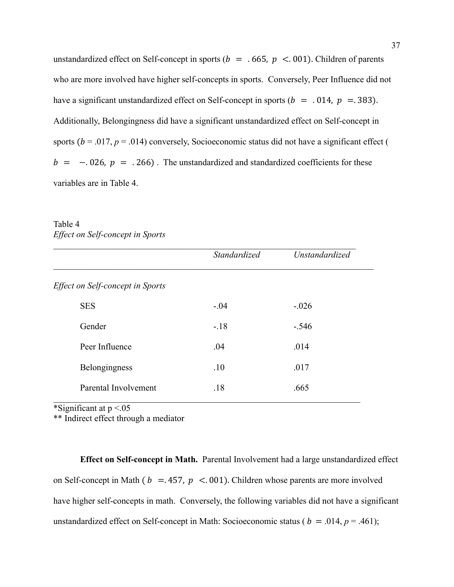unstandardized effect on Self-concept in sports ( $b = .665$ ,  $p < .001$ ). Children of parents who are more involved have higher self-concepts in sports. Conversely, Peer Influence did not have a significant unstandardized effect on Self-concept in sports ( $b = .014$ ,  $p = .383$ ). Additionally, Belongingness did have a significant unstandardized effect on Self-concept in sports ( $b = .017$ ,  $p = .014$ ) conversely, Socioeconomic status did not have a significant effect (  $b = -0.026$ ,  $p = 0.266$ . The unstandardized and standardized coefficients for these variables are in Table 4.

| Table 4                          |  |
|----------------------------------|--|
| Effect on Self-concept in Sports |  |

|                                  | Standardized | Unstandardized |
|----------------------------------|--------------|----------------|
| Effect on Self-concept in Sports |              |                |
| <b>SES</b>                       | $-.04$       | $-.026$        |
| Gender                           | $-.18$       | $-.546$        |
| Peer Influence                   | .04          | .014           |
| Belongingness                    | .10          | .017           |
| Parental Involvement             | .18          | .665           |

\*Significant at  $p < 0.05$ 

\*\* Indirect effect through a mediator

**Effect on Self-concept in Math.** Parental Involvement had a large unstandardized effect on Self-concept in Math ( $b = 457$ ,  $p < 001$ ). Children whose parents are more involved have higher self-concepts in math. Conversely, the following variables did not have a significant unstandardized effect on Self-concept in Math: Socioeconomic status ( $b = .014$ ,  $p = .461$ );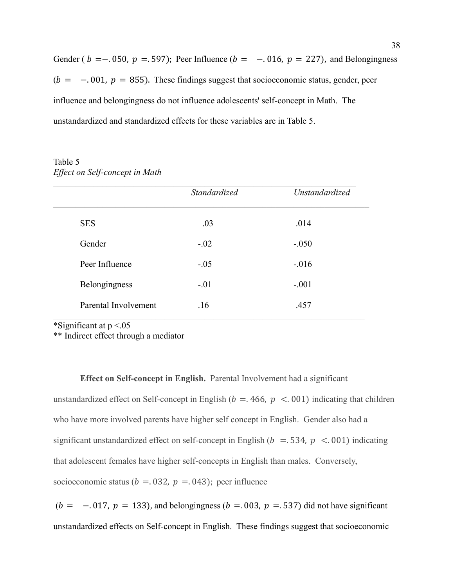Gender (  $b = -0.050$ ,  $p = 0.597$ ); Peer Influence ( $b = -0.016$ ,  $p = 227$ ), and Belongingness  $(b = -0.001, p = 855)$ . These findings suggest that socioeconomic status, gender, peer influence and belongingness do not influence adolescents' self-concept in Math. The unstandardized and standardized effects for these variables are in Table 5.

Table 5 *Effect on Self-concept in Math*

|                      | Standardized | Unstandardized |
|----------------------|--------------|----------------|
| <b>SES</b>           | .03          | .014           |
| Gender               | $-.02$       | $-.050$        |
| Peer Influence       | $-.05$       | $-0.016$       |
| Belongingness        | $-.01$       | $-.001$        |
| Parental Involvement | .16          | .457           |

\*Significant at  $p < 0.05$ 

\*\* Indirect effect through a mediator

**Effect on Self-concept in English.** Parental Involvement had a significant unstandardized effect on Self-concept in English ( $b = .466$ ,  $p < .001$ ) indicating that children who have more involved parents have higher self concept in English. Gender also had a significant unstandardized effect on self-concept in English ( $b = .534$ ,  $p < .001$ ) indicating that adolescent females have higher self-concepts in English than males. Conversely, socioeconomic status ( $b = 0.032$ ,  $p = 0.043$ ); peer influence

 $(b = -0.017, p = 133)$ , and belongingness  $(b = 0.003, p = 0.537)$  did not have significant unstandardized effects on Self-concept in English. These findings suggest that socioeconomic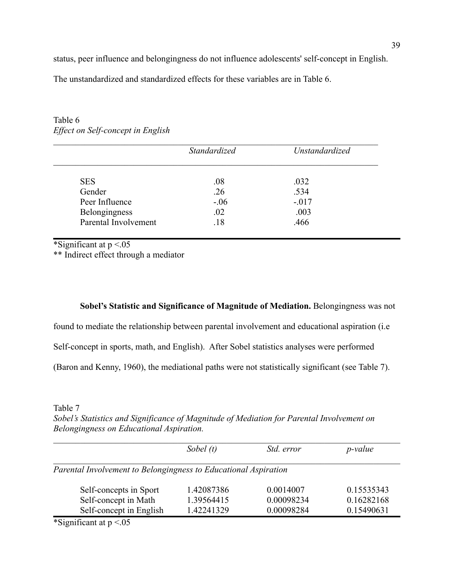status, peer influence and belongingness do not influence adolescents' self-concept in English.

The unstandardized and standardized effects for these variables are in Table 6.

|                      | Standardized | Unstandardized |
|----------------------|--------------|----------------|
| <b>SES</b>           | .08          | .032           |
| Gender               | .26          | .534           |
| Peer Influence       | $-.06$       | $-.017$        |
| Belongingness        | .02          | .003           |
| Parental Involvement | .18          | .466           |

Table 6 *Effect on Self-concept in English*

\*Significant at  $p < 0.05$ 

\*\* Indirect effect through a mediator

# **Sobel's Statistic and Significance of Magnitude of Mediation.** Belongingness was not

found to mediate the relationship between parental involvement and educational aspiration (i.e

Self-concept in sports, math, and English). After Sobel statistics analyses were performed

(Baron and Kenny, 1960), the mediational paths were not statistically significant (see Table 7).

Table 7

*Sobel's Statistics and Significance of Magnitude of Mediation for Parental Involvement on Belongingness on Educational Aspiration.*

|                                                                 | Sobel $(t)$ | Std. error | <i>p</i> -value |
|-----------------------------------------------------------------|-------------|------------|-----------------|
| Parental Involvement to Belongingness to Educational Aspiration |             |            |                 |
|                                                                 |             |            |                 |
| Self-concepts in Sport                                          | 1.42087386  | 0.0014007  | 0.15535343      |
| Self-concept in Math                                            | 1.39564415  | 0.00098234 | 0.16282168      |

\*Significant at  $p < 0.05$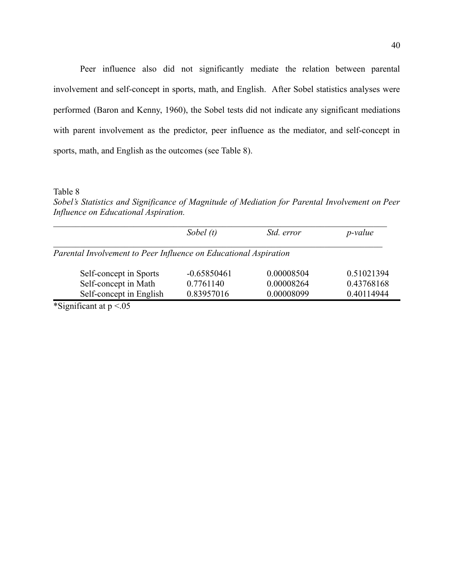Peer influence also did not significantly mediate the relation between parental involvement and self-concept in sports, math, and English. After Sobel statistics analyses were performed (Baron and Kenny, 1960), the Sobel tests did not indicate any significant mediations with parent involvement as the predictor, peer influence as the mediator, and self-concept in sports, math, and English as the outcomes (see Table 8).

Table 8

*Sobel's Statistics and Significance of Magnitude of Mediation for Parental Involvement on Peer Influence on Educational Aspiration.*

|                                                                  | Sobel $(t)$   | Std. error | <i>p</i> -value |
|------------------------------------------------------------------|---------------|------------|-----------------|
| Parental Involvement to Peer Influence on Educational Aspiration |               |            |                 |
|                                                                  |               |            |                 |
| Self-concept in Sports                                           | $-0.65850461$ | 0.00008504 | 0.51021394      |
| Self-concept in Math                                             | 0.7761140     | 0.00008264 | 0.43768168      |

\*Significant at  $p < 0.05$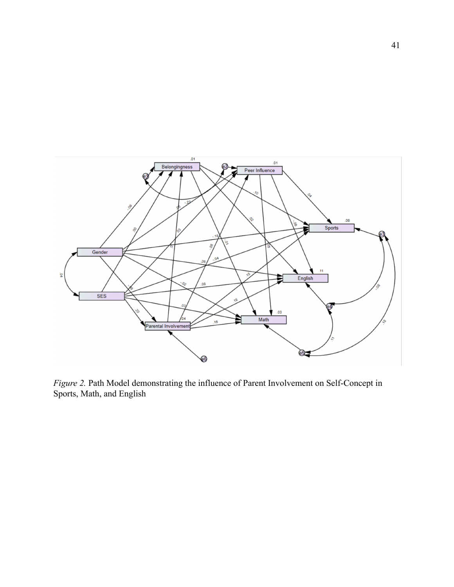

*Figure 2.* Path Model demonstrating the influence of Parent Involvement on Self-Concept in Sports, Math, and English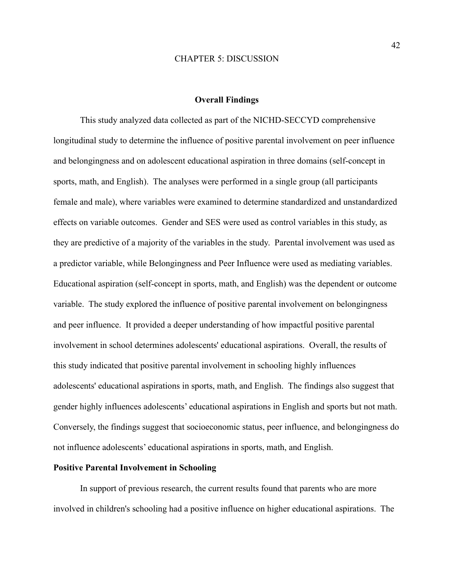#### CHAPTER 5: DISCUSSION

#### **Overall Findings**

This study analyzed data collected as part of the NICHD-SECCYD comprehensive longitudinal study to determine the influence of positive parental involvement on peer influence and belongingness and on adolescent educational aspiration in three domains (self-concept in sports, math, and English). The analyses were performed in a single group (all participants female and male), where variables were examined to determine standardized and unstandardized effects on variable outcomes. Gender and SES were used as control variables in this study, as they are predictive of a majority of the variables in the study. Parental involvement was used as a predictor variable, while Belongingness and Peer Influence were used as mediating variables. Educational aspiration (self-concept in sports, math, and English) was the dependent or outcome variable. The study explored the influence of positive parental involvement on belongingness and peer influence. It provided a deeper understanding of how impactful positive parental involvement in school determines adolescents' educational aspirations. Overall, the results of this study indicated that positive parental involvement in schooling highly influences adolescents' educational aspirations in sports, math, and English. The findings also suggest that gender highly influences adolescents' educational aspirations in English and sports but not math. Conversely, the findings suggest that socioeconomic status, peer influence, and belongingness do not influence adolescents' educational aspirations in sports, math, and English.

### **Positive Parental Involvement in Schooling**

In support of previous research, the current results found that parents who are more involved in children's schooling had a positive influence on higher educational aspirations. The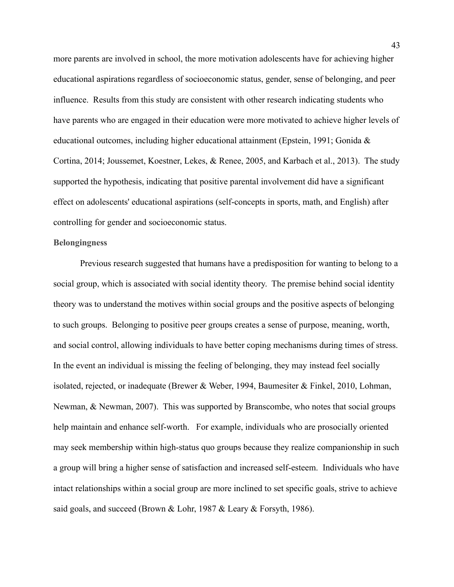more parents are involved in school, the more motivation adolescents have for achieving higher educational aspirations regardless of socioeconomic status, gender, sense of belonging, and peer influence. Results from this study are consistent with other research indicating students who have parents who are engaged in their education were more motivated to achieve higher levels of educational outcomes, including higher educational attainment (Epstein, 1991; Gonida & Cortina, 2014; Joussemet, Koestner, Lekes, & Renee, 2005, and Karbach et al., 2013). The study supported the hypothesis, indicating that positive parental involvement did have a significant effect on adolescents' educational aspirations (self-concepts in sports, math, and English) after controlling for gender and socioeconomic status.

#### **Belongingness**

Previous research suggested that humans have a predisposition for wanting to belong to a social group, which is associated with social identity theory. The premise behind social identity theory was to understand the motives within social groups and the positive aspects of belonging to such groups. Belonging to positive peer groups creates a sense of purpose, meaning, worth, and social control, allowing individuals to have better coping mechanisms during times of stress. In the event an individual is missing the feeling of belonging, they may instead feel socially isolated, rejected, or inadequate (Brewer & Weber, 1994, Baumesiter & Finkel, 2010, Lohman, Newman, & Newman, 2007). This was supported by Branscombe, who notes that social groups help maintain and enhance self-worth. For example, individuals who are prosocially oriented may seek membership within high-status quo groups because they realize companionship in such a group will bring a higher sense of satisfaction and increased self-esteem. Individuals who have intact relationships within a social group are more inclined to set specific goals, strive to achieve said goals, and succeed (Brown & Lohr, 1987 & Leary & Forsyth, 1986).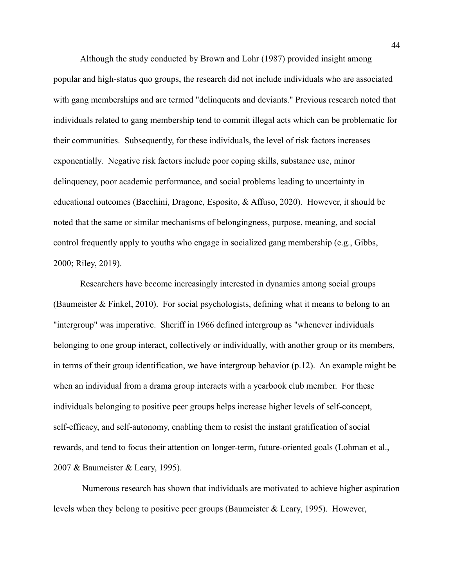Although the study conducted by Brown and Lohr (1987) provided insight among popular and high-status quo groups, the research did not include individuals who are associated with gang memberships and are termed "delinquents and deviants." Previous research noted that individuals related to gang membership tend to commit illegal acts which can be problematic for their communities. Subsequently, for these individuals, the level of risk factors increases exponentially. Negative risk factors include poor coping skills, substance use, minor delinquency, poor academic performance, and social problems leading to uncertainty in educational outcomes (Bacchini, Dragone, Esposito, & Affuso, 2020). However, it should be noted that the same or similar mechanisms of belongingness, purpose, meaning, and social control frequently apply to youths who engage in socialized gang membership (e.g., Gibbs, 2000; Riley, 2019).

Researchers have become increasingly interested in dynamics among social groups (Baumeister & Finkel, 2010). For social psychologists, defining what it means to belong to an "intergroup" was imperative. Sheriff in 1966 defined intergroup as "whenever individuals belonging to one group interact, collectively or individually, with another group or its members, in terms of their group identification, we have intergroup behavior (p.12). An example might be when an individual from a drama group interacts with a yearbook club member. For these individuals belonging to positive peer groups helps increase higher levels of self-concept, self-efficacy, and self-autonomy, enabling them to resist the instant gratification of social rewards, and tend to focus their attention on longer-term, future-oriented goals (Lohman et al., 2007 & Baumeister & Leary, 1995).

Numerous research has shown that individuals are motivated to achieve higher aspiration levels when they belong to positive peer groups (Baumeister & Leary, 1995). However,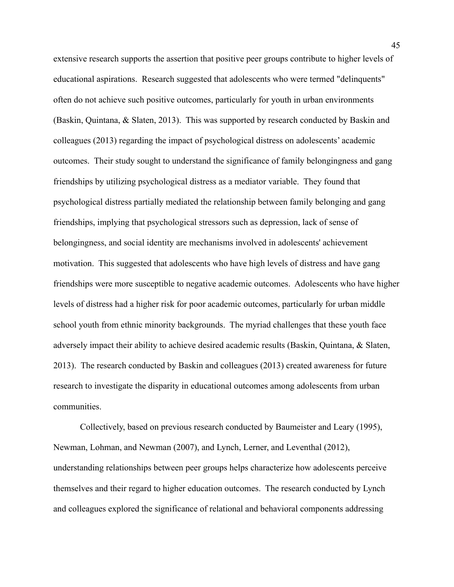extensive research supports the assertion that positive peer groups contribute to higher levels of educational aspirations. Research suggested that adolescents who were termed "delinquents" often do not achieve such positive outcomes, particularly for youth in urban environments (Baskin, Quintana, & Slaten, 2013). This was supported by research conducted by Baskin and colleagues (2013) regarding the impact of psychological distress on adolescents' academic outcomes. Their study sought to understand the significance of family belongingness and gang friendships by utilizing psychological distress as a mediator variable. They found that psychological distress partially mediated the relationship between family belonging and gang friendships, implying that psychological stressors such as depression, lack of sense of belongingness, and social identity are mechanisms involved in adolescents' achievement motivation. This suggested that adolescents who have high levels of distress and have gang friendships were more susceptible to negative academic outcomes. Adolescents who have higher levels of distress had a higher risk for poor academic outcomes, particularly for urban middle school youth from ethnic minority backgrounds. The myriad challenges that these youth face adversely impact their ability to achieve desired academic results (Baskin, Quintana, & Slaten, 2013). The research conducted by Baskin and colleagues (2013) created awareness for future research to investigate the disparity in educational outcomes among adolescents from urban communities.

Collectively, based on previous research conducted by Baumeister and Leary (1995), Newman, Lohman, and Newman (2007), and Lynch, Lerner, and Leventhal (2012), understanding relationships between peer groups helps characterize how adolescents perceive themselves and their regard to higher education outcomes. The research conducted by Lynch and colleagues explored the significance of relational and behavioral components addressing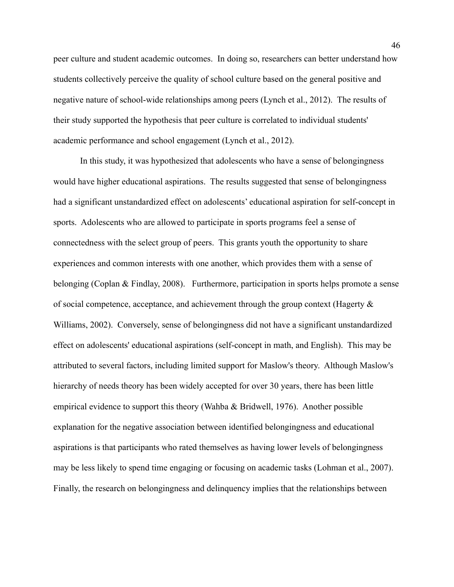peer culture and student academic outcomes. In doing so, researchers can better understand how students collectively perceive the quality of school culture based on the general positive and negative nature of school-wide relationships among peers (Lynch et al., 2012). The results of their study supported the hypothesis that peer culture is correlated to individual students' academic performance and school engagement (Lynch et al., 2012).

In this study, it was hypothesized that adolescents who have a sense of belongingness would have higher educational aspirations. The results suggested that sense of belongingness had a significant unstandardized effect on adolescents' educational aspiration for self-concept in sports. Adolescents who are allowed to participate in sports programs feel a sense of connectedness with the select group of peers. This grants youth the opportunity to share experiences and common interests with one another, which provides them with a sense of belonging (Coplan & Findlay, 2008). Furthermore, participation in sports helps promote a sense of social competence, acceptance, and achievement through the group context (Hagerty  $\&$ Williams, 2002). Conversely, sense of belongingness did not have a significant unstandardized effect on adolescents' educational aspirations (self-concept in math, and English). This may be attributed to several factors, including limited support for Maslow's theory. Although Maslow's hierarchy of needs theory has been widely accepted for over 30 years, there has been little empirical evidence to support this theory (Wahba & Bridwell, 1976). Another possible explanation for the negative association between identified belongingness and educational aspirations is that participants who rated themselves as having lower levels of belongingness may be less likely to spend time engaging or focusing on academic tasks (Lohman et al., 2007). Finally, the research on belongingness and delinquency implies that the relationships between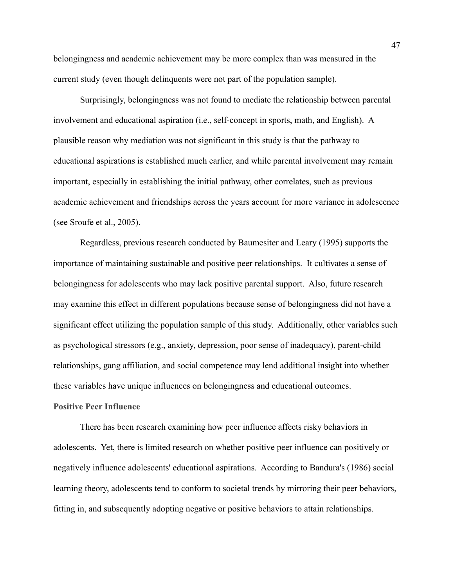belongingness and academic achievement may be more complex than was measured in the current study (even though delinquents were not part of the population sample).

Surprisingly, belongingness was not found to mediate the relationship between parental involvement and educational aspiration (i.e., self-concept in sports, math, and English). A plausible reason why mediation was not significant in this study is that the pathway to educational aspirations is established much earlier, and while parental involvement may remain important, especially in establishing the initial pathway, other correlates, such as previous academic achievement and friendships across the years account for more variance in adolescence (see Sroufe et al., 2005).

Regardless, previous research conducted by Baumesiter and Leary (1995) supports the importance of maintaining sustainable and positive peer relationships. It cultivates a sense of belongingness for adolescents who may lack positive parental support. Also, future research may examine this effect in different populations because sense of belongingness did not have a significant effect utilizing the population sample of this study. Additionally, other variables such as psychological stressors (e.g., anxiety, depression, poor sense of inadequacy), parent-child relationships, gang affiliation, and social competence may lend additional insight into whether these variables have unique influences on belongingness and educational outcomes. **Positive Peer Influence**

There has been research examining how peer influence affects risky behaviors in adolescents. Yet, there is limited research on whether positive peer influence can positively or negatively influence adolescents' educational aspirations. According to Bandura's (1986) social learning theory, adolescents tend to conform to societal trends by mirroring their peer behaviors, fitting in, and subsequently adopting negative or positive behaviors to attain relationships.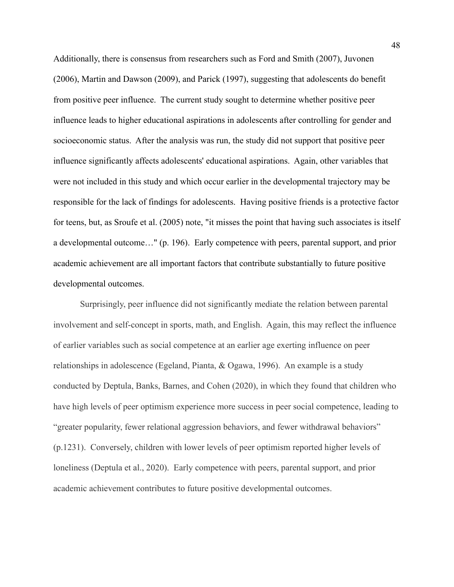Additionally, there is consensus from researchers such as Ford and Smith (2007), Juvonen (2006), Martin and Dawson (2009), and Parick (1997), suggesting that adolescents do benefit from positive peer influence. The current study sought to determine whether positive peer influence leads to higher educational aspirations in adolescents after controlling for gender and socioeconomic status. After the analysis was run, the study did not support that positive peer influence significantly affects adolescents' educational aspirations. Again, other variables that were not included in this study and which occur earlier in the developmental trajectory may be responsible for the lack of findings for adolescents. Having positive friends is a protective factor for teens, but, as Sroufe et al. (2005) note, "it misses the point that having such associates is itself a developmental outcome…" (p. 196). Early competence with peers, parental support, and prior academic achievement are all important factors that contribute substantially to future positive developmental outcomes.

Surprisingly, peer influence did not significantly mediate the relation between parental involvement and self-concept in sports, math, and English. Again, this may reflect the influence of earlier variables such as social competence at an earlier age exerting influence on peer relationships in adolescence (Egeland, Pianta, & Ogawa, 1996). An example is a study conducted by Deptula, Banks, Barnes, and Cohen (2020), in which they found that children who have high levels of peer optimism experience more success in peer social competence, leading to "greater popularity, fewer relational aggression behaviors, and fewer withdrawal behaviors" (p.1231). Conversely, children with lower levels of peer optimism reported higher levels of loneliness (Deptula et al., 2020). Early competence with peers, parental support, and prior academic achievement contributes to future positive developmental outcomes.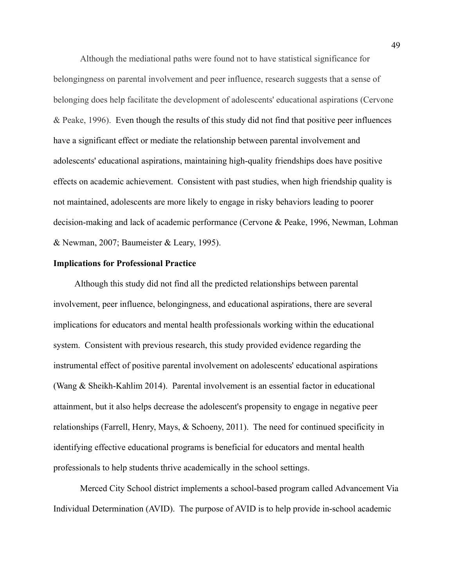Although the mediational paths were found not to have statistical significance for belongingness on parental involvement and peer influence, research suggests that a sense of belonging does help facilitate the development of adolescents' educational aspirations (Cervone & Peake, 1996). Even though the results of this study did not find that positive peer influences have a significant effect or mediate the relationship between parental involvement and adolescents' educational aspirations, maintaining high-quality friendships does have positive effects on academic achievement. Consistent with past studies, when high friendship quality is not maintained, adolescents are more likely to engage in risky behaviors leading to poorer decision-making and lack of academic performance (Cervone & Peake, 1996, Newman, Lohman & Newman, 2007; Baumeister & Leary, 1995).

#### **Implications for Professional Practice**

Although this study did not find all the predicted relationships between parental involvement, peer influence, belongingness, and educational aspirations, there are several implications for educators and mental health professionals working within the educational system. Consistent with previous research, this study provided evidence regarding the instrumental effect of positive parental involvement on adolescents' educational aspirations (Wang & Sheikh-Kahlim 2014). Parental involvement is an essential factor in educational attainment, but it also helps decrease the adolescent's propensity to engage in negative peer relationships (Farrell, Henry, Mays, & Schoeny, 2011). The need for continued specificity in identifying effective educational programs is beneficial for educators and mental health professionals to help students thrive academically in the school settings.

Merced City School district implements a school-based program called Advancement Via Individual Determination (AVID). The purpose of AVID is to help provide in-school academic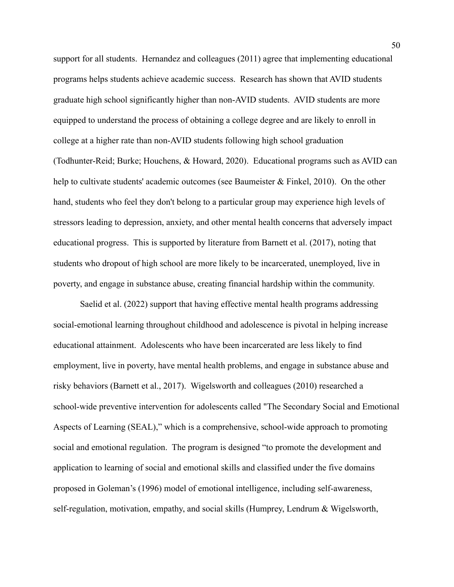support for all students. Hernandez and colleagues (2011) agree that implementing educational programs helps students achieve academic success. Research has shown that AVID students graduate high school significantly higher than non-AVID students. AVID students are more equipped to understand the process of obtaining a college degree and are likely to enroll in college at a higher rate than non-AVID students following high school graduation (Todhunter-Reid; Burke; Houchens, & Howard, 2020). Educational programs such as AVID can help to cultivate students' academic outcomes (see Baumeister & Finkel, 2010). On the other hand, students who feel they don't belong to a particular group may experience high levels of stressors leading to depression, anxiety, and other mental health concerns that adversely impact educational progress. This is supported by literature from Barnett et al. (2017), noting that students who dropout of high school are more likely to be incarcerated, unemployed, live in poverty, and engage in substance abuse, creating financial hardship within the community.

Saelid et al. (2022) support that having effective mental health programs addressing social-emotional learning throughout childhood and adolescence is pivotal in helping increase educational attainment. Adolescents who have been incarcerated are less likely to find employment, live in poverty, have mental health problems, and engage in substance abuse and risky behaviors (Barnett et al., 2017). Wigelsworth and colleagues (2010) researched a school-wide preventive intervention for adolescents called "The Secondary Social and Emotional Aspects of Learning (SEAL)," which is a comprehensive, school-wide approach to promoting social and emotional regulation. The program is designed "to promote the development and application to learning of social and emotional skills and classified under the five domains proposed in Goleman's (1996) model of emotional intelligence, including self-awareness, self-regulation, motivation, empathy, and social skills (Humprey, Lendrum & Wigelsworth,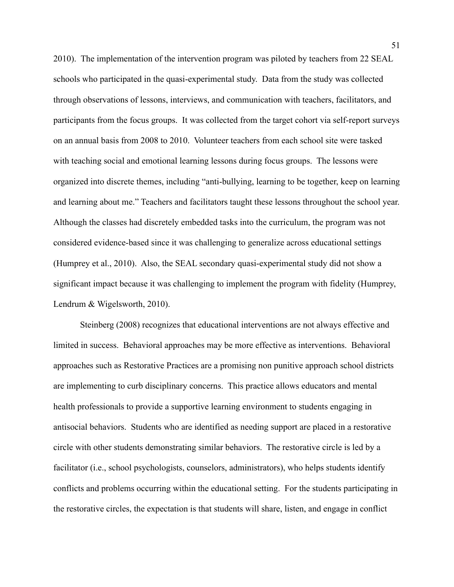2010). The implementation of the intervention program was piloted by teachers from 22 SEAL schools who participated in the quasi-experimental study. Data from the study was collected through observations of lessons, interviews, and communication with teachers, facilitators, and participants from the focus groups. It was collected from the target cohort via self-report surveys on an annual basis from 2008 to 2010. Volunteer teachers from each school site were tasked with teaching social and emotional learning lessons during focus groups. The lessons were organized into discrete themes, including "anti-bullying, learning to be together, keep on learning and learning about me." Teachers and facilitators taught these lessons throughout the school year. Although the classes had discretely embedded tasks into the curriculum, the program was not considered evidence-based since it was challenging to generalize across educational settings (Humprey et al., 2010). Also, the SEAL secondary quasi-experimental study did not show a significant impact because it was challenging to implement the program with fidelity (Humprey, Lendrum & Wigelsworth, 2010).

Steinberg (2008) recognizes that educational interventions are not always effective and limited in success. Behavioral approaches may be more effective as interventions. Behavioral approaches such as Restorative Practices are a promising non punitive approach school districts are implementing to curb disciplinary concerns. This practice allows educators and mental health professionals to provide a supportive learning environment to students engaging in antisocial behaviors. Students who are identified as needing support are placed in a restorative circle with other students demonstrating similar behaviors. The restorative circle is led by a facilitator (i.e., school psychologists, counselors, administrators), who helps students identify conflicts and problems occurring within the educational setting. For the students participating in the restorative circles, the expectation is that students will share, listen, and engage in conflict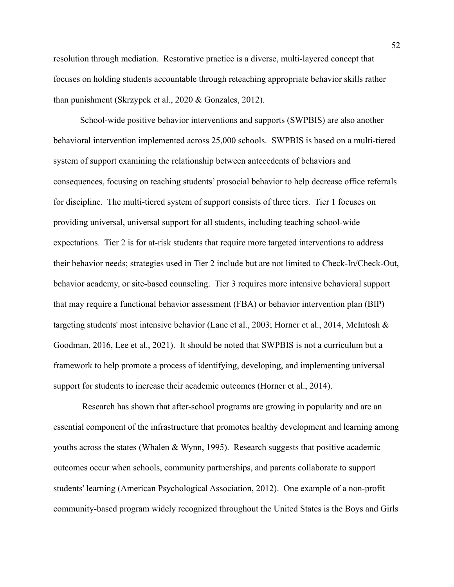resolution through mediation. Restorative practice is a diverse, multi-layered concept that focuses on holding students accountable through reteaching appropriate behavior skills rather than punishment (Skrzypek et al., 2020 & Gonzales, 2012).

School-wide positive behavior interventions and supports (SWPBIS) are also another behavioral intervention implemented across 25,000 schools. SWPBIS is based on a multi-tiered system of support examining the relationship between antecedents of behaviors and consequences, focusing on teaching students' prosocial behavior to help decrease office referrals for discipline. The multi-tiered system of support consists of three tiers. Tier 1 focuses on providing universal, universal support for all students, including teaching school-wide expectations. Tier 2 is for at-risk students that require more targeted interventions to address their behavior needs; strategies used in Tier 2 include but are not limited to Check-In/Check-Out, behavior academy, or site-based counseling. Tier 3 requires more intensive behavioral support that may require a functional behavior assessment (FBA) or behavior intervention plan (BIP) targeting students' most intensive behavior (Lane et al., 2003; Horner et al., 2014, McIntosh & Goodman, 2016, Lee et al., 2021). It should be noted that SWPBIS is not a curriculum but a framework to help promote a process of identifying, developing, and implementing universal support for students to increase their academic outcomes (Horner et al., 2014).

Research has shown that after-school programs are growing in popularity and are an essential component of the infrastructure that promotes healthy development and learning among youths across the states (Whalen & Wynn, 1995). Research suggests that positive academic outcomes occur when schools, community partnerships, and parents collaborate to support students' learning (American Psychological Association, 2012). One example of a non-profit community-based program widely recognized throughout the United States is the Boys and Girls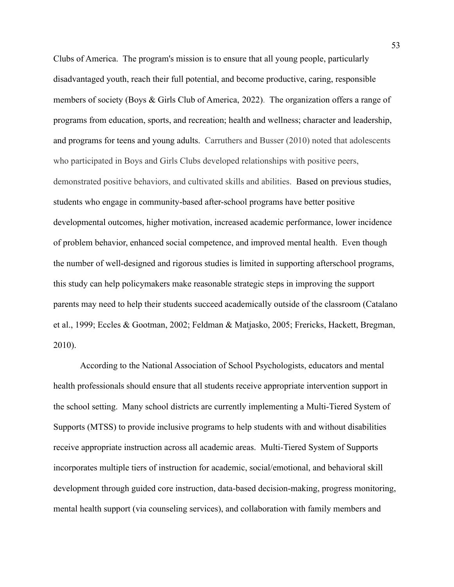Clubs of America. The program's mission is to ensure that all young people, particularly disadvantaged youth, reach their full potential, and become productive, caring, responsible members of society (Boys & Girls Club of America, 2022). The organization offers a range of programs from education, sports, and recreation; health and wellness; character and leadership, and programs for teens and young adults. Carruthers and Busser (2010) noted that adolescents who participated in Boys and Girls Clubs developed relationships with positive peers, demonstrated positive behaviors, and cultivated skills and abilities. Based on previous studies, students who engage in community-based after-school programs have better positive developmental outcomes, higher motivation, increased academic performance, lower incidence of problem behavior, enhanced social competence, and improved mental health. Even though the number of well-designed and rigorous studies is limited in supporting afterschool programs, this study can help policymakers make reasonable strategic steps in improving the support parents may need to help their students succeed academically outside of the classroom (Catalano et al., 1999; Eccles & Gootman, 2002; Feldman & Matjasko, 2005; Frericks, Hackett, Bregman, 2010).

According to the National Association of School Psychologists, educators and mental health professionals should ensure that all students receive appropriate intervention support in the school setting. Many school districts are currently implementing a Multi-Tiered System of Supports (MTSS) to provide inclusive programs to help students with and without disabilities receive appropriate instruction across all academic areas. Multi-Tiered System of Supports incorporates multiple tiers of instruction for academic, social/emotional, and behavioral skill development through guided core instruction, data-based decision-making, progress monitoring, mental health support (via counseling services), and collaboration with family members and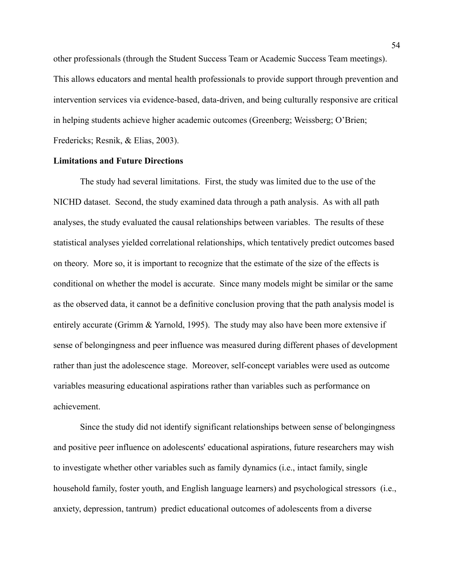other professionals (through the Student Success Team or Academic Success Team meetings). This allows educators and mental health professionals to provide support through prevention and intervention services via evidence-based, data-driven, and being culturally responsive are critical in helping students achieve higher academic outcomes (Greenberg; Weissberg; O'Brien; Fredericks; Resnik, & Elias, 2003).

#### **Limitations and Future Directions**

The study had several limitations. First, the study was limited due to the use of the NICHD dataset. Second, the study examined data through a path analysis. As with all path analyses, the study evaluated the causal relationships between variables. The results of these statistical analyses yielded correlational relationships, which tentatively predict outcomes based on theory. More so, it is important to recognize that the estimate of the size of the effects is conditional on whether the model is accurate. Since many models might be similar or the same as the observed data, it cannot be a definitive conclusion proving that the path analysis model is entirely accurate (Grimm & Yarnold, 1995). The study may also have been more extensive if sense of belongingness and peer influence was measured during different phases of development rather than just the adolescence stage. Moreover, self-concept variables were used as outcome variables measuring educational aspirations rather than variables such as performance on achievement.

Since the study did not identify significant relationships between sense of belongingness and positive peer influence on adolescents' educational aspirations, future researchers may wish to investigate whether other variables such as family dynamics (i.e., intact family, single household family, foster youth, and English language learners) and psychological stressors (i.e., anxiety, depression, tantrum) predict educational outcomes of adolescents from a diverse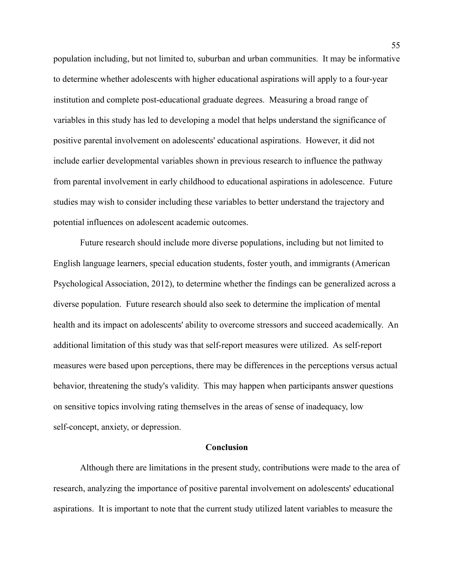population including, but not limited to, suburban and urban communities. It may be informative to determine whether adolescents with higher educational aspirations will apply to a four-year institution and complete post-educational graduate degrees. Measuring a broad range of variables in this study has led to developing a model that helps understand the significance of positive parental involvement on adolescents' educational aspirations. However, it did not include earlier developmental variables shown in previous research to influence the pathway from parental involvement in early childhood to educational aspirations in adolescence. Future studies may wish to consider including these variables to better understand the trajectory and potential influences on adolescent academic outcomes.

Future research should include more diverse populations, including but not limited to English language learners, special education students, foster youth, and immigrants (American Psychological Association, 2012), to determine whether the findings can be generalized across a diverse population. Future research should also seek to determine the implication of mental health and its impact on adolescents' ability to overcome stressors and succeed academically. An additional limitation of this study was that self-report measures were utilized. As self-report measures were based upon perceptions, there may be differences in the perceptions versus actual behavior, threatening the study's validity. This may happen when participants answer questions on sensitive topics involving rating themselves in the areas of sense of inadequacy, low self-concept, anxiety, or depression.

#### **Conclusion**

Although there are limitations in the present study, contributions were made to the area of research, analyzing the importance of positive parental involvement on adolescents' educational aspirations. It is important to note that the current study utilized latent variables to measure the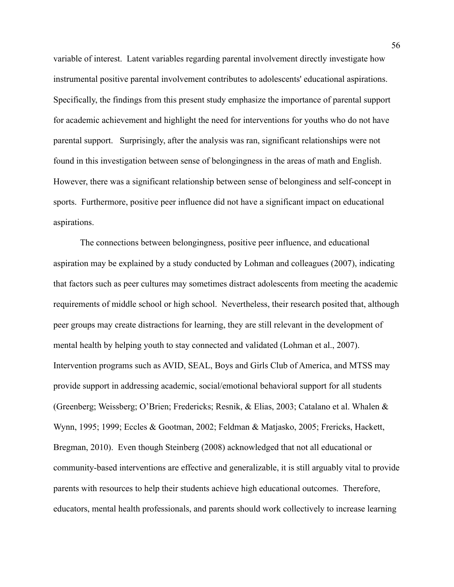variable of interest. Latent variables regarding parental involvement directly investigate how instrumental positive parental involvement contributes to adolescents' educational aspirations. Specifically, the findings from this present study emphasize the importance of parental support for academic achievement and highlight the need for interventions for youths who do not have parental support. Surprisingly, after the analysis was ran, significant relationships were not found in this investigation between sense of belongingness in the areas of math and English. However, there was a significant relationship between sense of belonginess and self-concept in sports. Furthermore, positive peer influence did not have a significant impact on educational aspirations.

The connections between belongingness, positive peer influence, and educational aspiration may be explained by a study conducted by Lohman and colleagues (2007), indicating that factors such as peer cultures may sometimes distract adolescents from meeting the academic requirements of middle school or high school. Nevertheless, their research posited that, although peer groups may create distractions for learning, they are still relevant in the development of mental health by helping youth to stay connected and validated (Lohman et al., 2007). Intervention programs such as AVID, SEAL, Boys and Girls Club of America, and MTSS may provide support in addressing academic, social/emotional behavioral support for all students (Greenberg; Weissberg; O'Brien; Fredericks; Resnik, & Elias, 2003; Catalano et al. Whalen & Wynn, 1995; 1999; Eccles & Gootman, 2002; Feldman & Matjasko, 2005; Frericks, Hackett, Bregman, 2010). Even though Steinberg (2008) acknowledged that not all educational or community-based interventions are effective and generalizable, it is still arguably vital to provide parents with resources to help their students achieve high educational outcomes. Therefore, educators, mental health professionals, and parents should work collectively to increase learning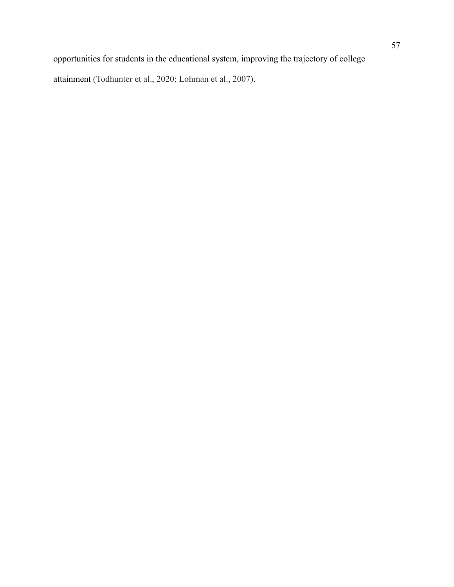attainment (Todhunter et al., 2020; Lohman et al., 2007).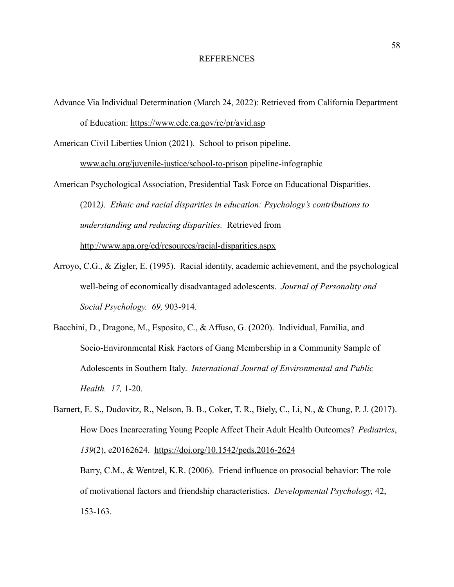#### REFERENCES

Advance Via Individual Determination (March 24, 2022): Retrieved from California Department of Education: https://www.cde.ca.gov/re/pr/avid.asp

American Civil Liberties Union (2021). School to prison pipeline.

[www.aclu.org/juvenile-justice/school-to-prison](http://www.aclu.org/juvenile-justice/school-to-prison) pipeline-infographic

American Psychological Association, Presidential Task Force on Educational Disparities. (2012*). Ethnic and racial disparities in education: Psychology's contributions to understanding and reducing disparities.* Retrieved from <http://www.apa.org/ed/resources/racial-disparities.aspx>

- Arroyo, C.G., & Zigler, E. (1995). Racial identity, academic achievement, and the psychological well-being of economically disadvantaged adolescents. *Journal of Personality and Social Psychology. 69,* 903-914.
- Bacchini, D., Dragone, M., Esposito, C., & Affuso, G. (2020). Individual, Familia, and Socio-Environmental Risk Factors of Gang Membership in a Community Sample of Adolescents in Southern Italy. *International Journal of Environmental and Public Health. 17,* 1-20.

Barnert, E. S., Dudovitz, R., Nelson, B. B., Coker, T. R., Biely, C., Li, N., & Chung, P. J. (2017). How Does Incarcerating Young People Affect Their Adult Health Outcomes? *Pediatrics*, *139*(2), e20162624. <https://doi.org/10.1542/peds.2016-2624> Barry, C.M., & Wentzel, K.R. (2006). Friend influence on prosocial behavior: The role of motivational factors and friendship characteristics. *Developmental Psychology,* 42, 153-163.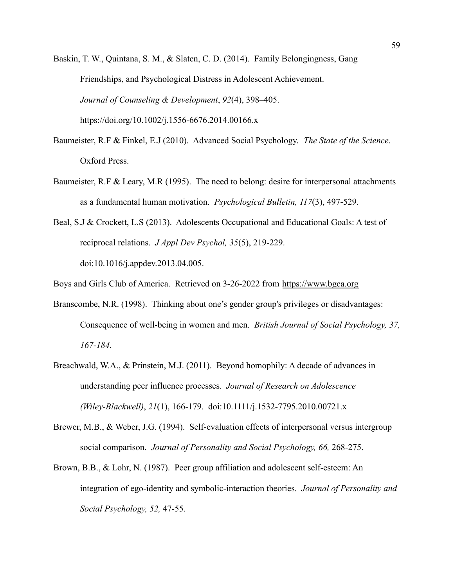Baskin, T. W., Quintana, S. M., & Slaten, C. D. (2014). Family Belongingness, Gang Friendships, and Psychological Distress in Adolescent Achievement. *Journal of Counseling & Development*, *92*(4), 398–405. https://doi.org/10.1002/j.1556-6676.2014.00166.x

- Baumeister, R.F & Finkel, E.J (2010). Advanced Social Psychology. *The State of the Science*. Oxford Press.
- Baumeister, R.F & Leary, M.R (1995). The need to belong: desire for interpersonal attachments as a fundamental human motivation. *Psychological Bulletin, 117*(3), 497-529.
- Beal, S.J & Crockett, L.S (2013). Adolescents Occupational and Educational Goals: A test of reciprocal relations. *J Appl Dev Psychol, 35*(5), 219-229. doi:10.1016/j.appdev.2013.04.005.

Boys and Girls Club of America. Retrieved on 3-26-2022 from <https://www.bgca.org>

- Branscombe, N.R. (1998). Thinking about one's gender group's privileges or disadvantages: Consequence of well-being in women and men. *British Journal of Social Psychology, 37, 167-184.*
- Breachwald, W.A., & Prinstein, M.J. (2011). Beyond homophily: A decade of advances in understanding peer influence processes. *Journal of Research on Adolescence (Wiley-Blackwell)*, *21*(1), 166-179. doi:10.1111/j.1532-7795.2010.00721.x
- Brewer, M.B., & Weber, J.G. (1994). Self-evaluation effects of interpersonal versus intergroup social comparison. *Journal of Personality and Social Psychology, 66,* 268-275.
- Brown, B.B., & Lohr, N. (1987). Peer group affiliation and adolescent self-esteem: An integration of ego-identity and symbolic-interaction theories. *Journal of Personality and Social Psychology, 52,* 47-55.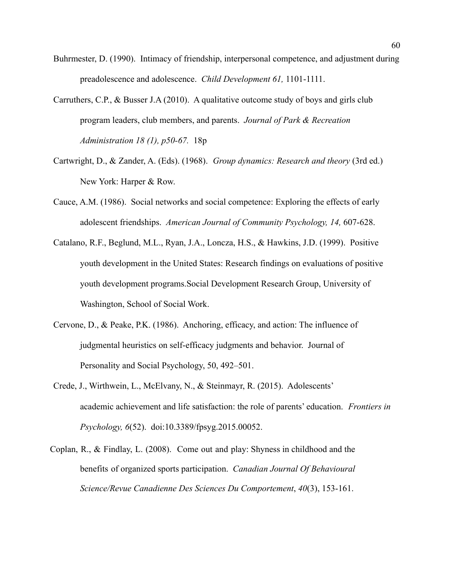- Buhrmester, D. (1990). Intimacy of friendship, interpersonal competence, and adjustment during preadolescence and adolescence. *Child Development 61,* 1101-1111.
- Carruthers, C.P., & Busser J.A (2010). A qualitative outcome study of boys and girls club program leaders, club members, and parents. *Journal of Park & Recreation Administration 18 (1), p50-67.* 18p
- Cartwright, D., & Zander, A. (Eds). (1968). *Group dynamics: Research and theory* (3rd ed.) New York: Harper & Row.
- Cauce, A.M. (1986). Social networks and social competence: Exploring the effects of early adolescent friendships. *American Journal of Community Psychology, 14,* 607-628.
- Catalano, R.F., Beglund, M.L., Ryan, J.A., Loncza, H.S., & Hawkins, J.D. (1999). Positive youth development in the United States: Research findings on evaluations of positive youth development programs.Social Development Research Group, University of Washington, School of Social Work.
- Cervone, D., & Peake, P.K. (1986). Anchoring, efficacy, and action: The influence of judgmental heuristics on self-efficacy judgments and behavior. Journal of Personality and Social Psychology, 50, 492–501.
- Crede, J., Wirthwein, L., McElvany, N., & Steinmayr, R. (2015). Adolescents' academic achievement and life satisfaction: the role of parents' education. *Frontiers in Psychology, 6*(52). doi:10.3389/fpsyg.2015.00052.
- Coplan, R., & Findlay, L. (2008). Come out and play: Shyness in childhood and the benefits of organized sports participation. *Canadian Journal Of Behavioural Science/Revue Canadienne Des Sciences Du Comportement*, *40*(3), 153-161.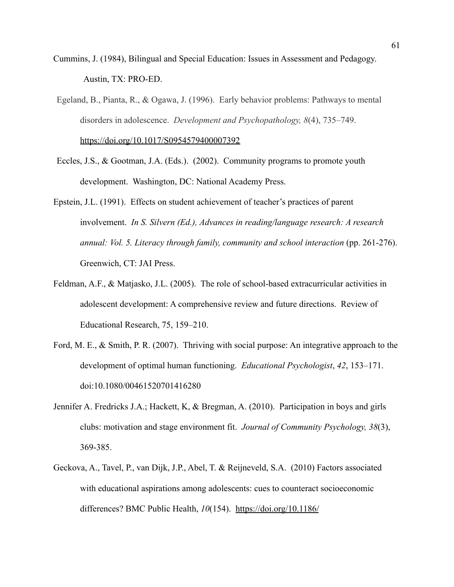- Cummins, J. (1984), Bilingual and Special Education: Issues in Assessment and Pedagogy. Austin, TX: PRO-ED.
- Egeland, B., Pianta, R., & Ogawa, J. (1996). Early behavior problems: Pathways to mental disorders in adolescence. *Development and Psychopathology, 8*(4), 735–749. [https://doi.org/10.1017/S0954579400007392](https://psycnet.apa.org/doi/10.1017/S0954579400007392)
- Eccles, J.S., & Gootman, J.A. (Eds.). (2002). Community programs to promote youth development. Washington, DC: National Academy Press.
- Epstein, J.L. (1991). Effects on student achievement of teacher's practices of parent involvement. *In S. Silvern (Ed.), Advances in reading/language research: A research annual: Vol. 5. Literacy through family, community and school interaction* (pp. 261-276). Greenwich, CT: JAI Press.
- Feldman, A.F., & Matjasko, J.L. (2005). The role of school-based extracurricular activities in adolescent development: A comprehensive review and future directions. Review of Educational Research, 75, 159–210.
- Ford, M. E., & Smith, P. R. (2007). Thriving with social purpose: An integrative approach to the development of optimal human functioning. *Educational Psychologist*, *42*, 153–171. doi:10.1080/00461520701416280
- Jennifer A. Fredricks J.A.; Hackett, K, & Bregman, A. (2010). Participation in boys and girls clubs: motivation and stage environment fit. *Journal of Community Psychology, 38*(3), 369-385.
- Geckova, A., Tavel, P., van Dijk, J.P., Abel, T. & Reijneveld, S.A. (2010) Factors associated with educational aspirations among adolescents: cues to counteract socioeconomic differences? BMC Public Health, *10*(154). <https://doi.org/10.1186/>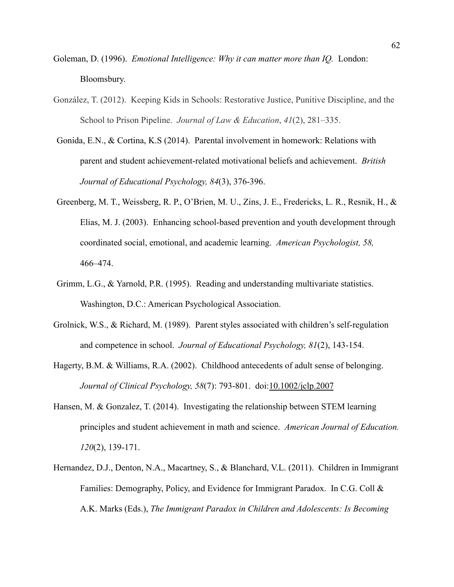- Goleman, D. (1996). *Emotional Intelligence: Why it can matter more than IQ.* London: Bloomsbury.
- González, T. (2012). Keeping Kids in Schools: Restorative Justice, Punitive Discipline, and the School to Prison Pipeline. *Journal of Law & Education*, *41*(2), 281–335.
- Gonida, E.N., & Cortina, K.S (2014). Parental involvement in homework: Relations with parent and student achievement-related motivational beliefs and achievement. *British Journal of Educational Psychology, 84*(3), 376-396.
- Greenberg, M. T., Weissberg, R. P., O'Brien, M. U., Zins, J. E., Fredericks, L. R., Resnik, H., & Elias, M. J. (2003). Enhancing school-based prevention and youth development through coordinated social, emotional, and academic learning. *American Psychologist, 58,* 466–474.
- Grimm, L.G., & Yarnold, P.R. (1995). Reading and understanding multivariate statistics. Washington, D.C.: American Psychological Association.
- Grolnick, W.S., & Richard, M. (1989). Parent styles associated with children's self-regulation and competence in school. *Journal of Educational Psychology, 81*(2), 143-154.
- Hagerty, B.M. & Williams, R.A. (2002). Childhood antecedents of adult sense of belonging. *Journal of Clinical Psychology, 58*(7): 793-801. doi:[10.1002/jclp.2007](http://dx.doi.org/10.1002/jclp.2007)
- Hansen, M. & Gonzalez, T. (2014). Investigating the relationship between STEM learning principles and student achievement in math and science. *American Journal of Education. 120*(2), 139-171.
- Hernandez, D.J., Denton, N.A., Macartney, S., & Blanchard, V.L. (2011). Children in Immigrant Families: Demography, Policy, and Evidence for Immigrant Paradox. In C.G. Coll & A.K. Marks (Eds.), *The Immigrant Paradox in Children and Adolescents: Is Becoming*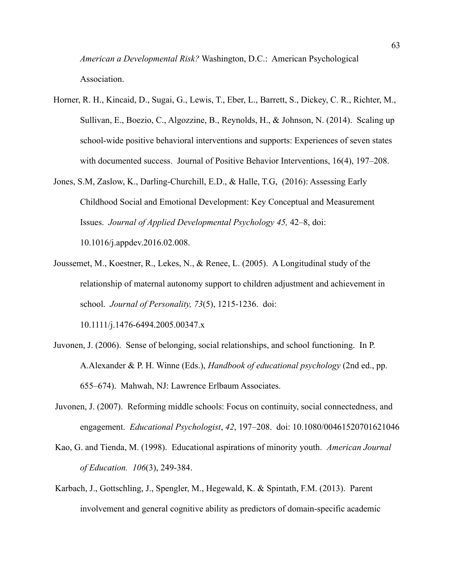*American a Developmental Risk?* Washington, D.C.: American Psychological Association.

- Horner, R. H., Kincaid, D., Sugai, G., Lewis, T., Eber, L., Barrett, S., Dickey, C. R., Richter, M., Sullivan, E., Boezio, C., Algozzine, B., Reynolds, H., & Johnson, N. (2014). Scaling up school-wide positive behavioral interventions and supports: Experiences of seven states with documented success. Journal of Positive Behavior Interventions, 16(4), 197–208.
- Jones, S.M, Zaslow, K., Darling-Churchill, E.D., & Halle, T.G, (2016): Assessing Early Childhood Social and Emotional Development: Key Conceptual and Measurement Issues. *Journal of Applied Developmental Psychology 45,* 42–8, doi: 10.1016/j.appdev.2016.02.008.
- Joussemet, M., Koestner, R., Lekes, N., & Renee, L. (2005). A Longitudinal study of the relationship of maternal autonomy support to children adjustment and achievement in school. *Journal of Personality, 73*(5), 1215-1236. doi: 10.1111/j.1476-6494.2005.00347.x
- Juvonen, J. (2006). Sense of belonging, social relationships, and school functioning. In P. A.Alexander & P. H. Winne (Eds.), *Handbook of educational psychology* (2nd ed., pp. 655–674). Mahwah, NJ: Lawrence Erlbaum Associates.
- Juvonen, J. (2007). Reforming middle schools: Focus on continuity, social connectedness, and engagement. *Educational Psychologist*, *42*, 197–208. doi: 10.1080/00461520701621046
- Kao, G. and Tienda, M. (1998). Educational aspirations of minority youth. *American Journal of Education. 106*(3), 249-384.
- Karbach, J., Gottschling, J., Spengler, M., Hegewald, K. & Spintath, F.M. (2013). Parent involvement and general cognitive ability as predictors of domain-specific academic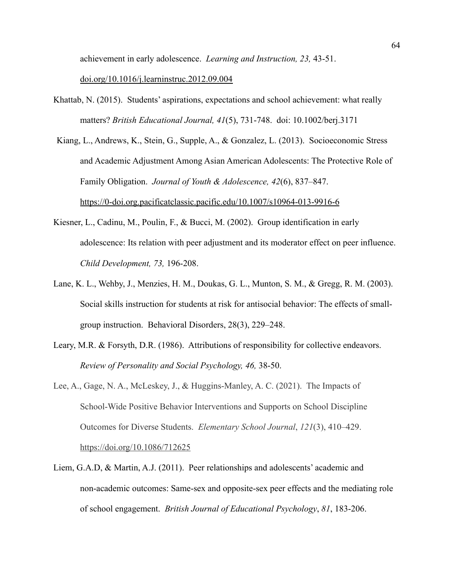achievement in early adolescence. *Learning and Instruction, 23,* 43-51.

#### doi.org/10.1016/j.learninstruc.2012.09.004

- Khattab, N. (2015). Students' aspirations, expectations and school achievement: what really matters? *British Educational Journal, 41*(5), 731-748. doi: 10.1002/berj.3171
- Kiang, L., Andrews, K., Stein, G., Supple, A., & Gonzalez, L. (2013). Socioeconomic Stress and Academic Adjustment Among Asian American Adolescents: The Protective Role of Family Obligation. *Journal of Youth & Adolescence, 42*(6), 837–847. <https://0-doi.org.pacificatclassic.pacific.edu/10.1007/s10964-013-9916-6>
- Kiesner, L., Cadinu, M., Poulin, F., & Bucci, M. (2002). Group identification in early adolescence: Its relation with peer adjustment and its moderator effect on peer influence. *Child Development, 73,* 196-208.
- Lane, K. L., Wehby, J., Menzies, H. M., Doukas, G. L., Munton, S. M., & Gregg, R. M. (2003). Social skills instruction for students at risk for antisocial behavior: The effects of smallgroup instruction. Behavioral Disorders, 28(3), 229–248.
- Leary, M.R. & Forsyth, D.R. (1986). Attributions of responsibility for collective endeavors. *Review of Personality and Social Psychology, 46,* 38-50.
- Lee, A., Gage, N. A., McLeskey, J., & Huggins-Manley, A. C. (2021). The Impacts of School-Wide Positive Behavior Interventions and Supports on School Discipline Outcomes for Diverse Students. *Elementary School Journal*, *121*(3), 410–429. https://doi.org/10.1086/712625
- Liem, G.A.D, & Martin, A.J. (2011). Peer relationships and adolescents' academic and non-academic outcomes: Same-sex and opposite-sex peer effects and the mediating role of school engagement. *British Journal of Educational Psychology*, *81*, 183-206.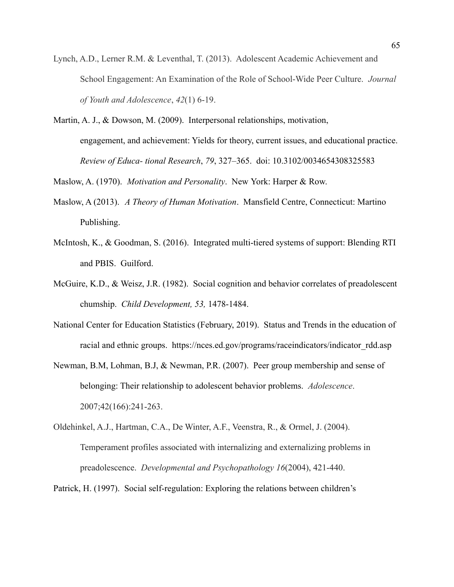- Lynch, A.D., Lerner R.M. & Leventhal, T. (2013). Adolescent Academic Achievement and School Engagement: An Examination of the Role of School-Wide Peer Culture. *Journal of Youth and Adolescence*, *42*(1) 6-19.
- Martin, A. J., & Dowson, M. (2009). Interpersonal relationships, motivation, engagement, and achievement: Yields for theory, current issues, and educational practice. *Review of Educa- tional Research*, *79*, 327–365. doi: 10.3102/0034654308325583

Maslow, A. (1970). *Motivation and Personality*. New York: Harper & Row.

- Maslow, A (2013). *A Theory of Human Motivation*. Mansfield Centre, Connecticut: Martino Publishing.
- McIntosh, K., & Goodman, S. (2016). Integrated multi-tiered systems of support: Blending RTI and PBIS. Guilford.
- McGuire, K.D., & Weisz, J.R. (1982). Social cognition and behavior correlates of preadolescent chumship. *Child Development, 53,* 1478-1484.
- National Center for Education Statistics (February, 2019). Status and Trends in the education of racial and ethnic groups. https://nces.ed.gov/programs/raceindicators/indicator\_rdd.asp
- Newman, B.M, Lohman, B.J, & Newman, P.R. (2007). Peer group membership and sense of belonging: Their relationship to adolescent behavior problems. *Adolescence*. 2007;42(166):241-263.
- Oldehinkel, A.J., Hartman, C.A., De Winter, A.F., Veenstra, R., & Ormel, J. (2004). Temperament profiles associated with internalizing and externalizing problems in preadolescence. *Developmental and Psychopathology 16*(2004), 421-440.

Patrick, H. (1997). Social self-regulation: Exploring the relations between children's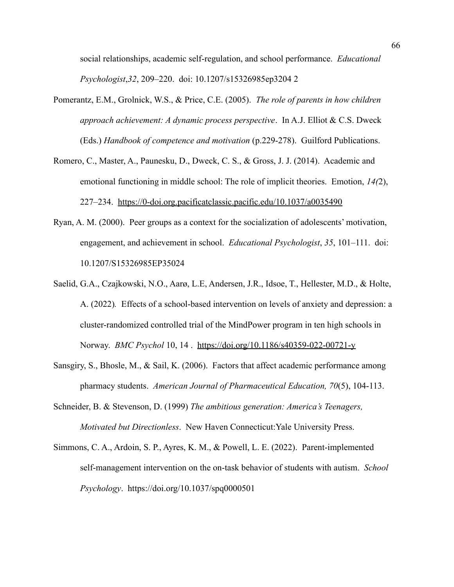social relationships, academic self-regulation, and school performance. *Educational Psychologist*,*32*, 209–220. doi: 10.1207/s15326985ep3204 2

- Pomerantz, E.M., Grolnick, W.S., & Price, C.E. (2005). *The role of parents in how children approach achievement: A dynamic process perspective*. In A.J. Elliot & C.S. Dweck (Eds.) *Handbook of competence and motivation* (p.229-278). Guilford Publications.
- Romero, C., Master, A., Paunesku, D., Dweck, C. S., & Gross, J. J. (2014). Academic and emotional functioning in middle school: The role of implicit theories. Emotion, *14(*2), 227–234. <https://0-doi.org.pacificatclassic.pacific.edu/10.1037/a0035490>
- Ryan, A. M. (2000). Peer groups as a context for the socialization of adolescents' motivation, engagement, and achievement in school. *Educational Psychologist*, *35*, 101–111. doi: 10.1207/S15326985EP35024
- Saelid, G.A., Czajkowski, N.O., Aarø, L.E, Andersen, J.R., Idsoe, T., Hellester, M.D., & Holte, A. (2022)*.* Effects of a school-based intervention on levels of anxiety and depression: a cluster-randomized controlled trial of the MindPower program in ten high schools in Norway. *BMC Psychol* 10, 14 . <https://doi.org/10.1186/s40359-022-00721-y>
- Sansgiry, S., Bhosle, M., & Sail, K. (2006). Factors that affect academic performance among pharmacy students. *American Journal of Pharmaceutical Education, 70*(5), 104-113.
- Schneider, B. & Stevenson, D. (1999) *The ambitious generation: America's Teenagers, Motivated but Directionless*. New Haven Connecticut:Yale University Press.
- Simmons, C. A., Ardoin, S. P., Ayres, K. M., & Powell, L. E. (2022). Parent-implemented self-management intervention on the on-task behavior of students with autism. *School Psychology*. https://doi.org/10.1037/spq0000501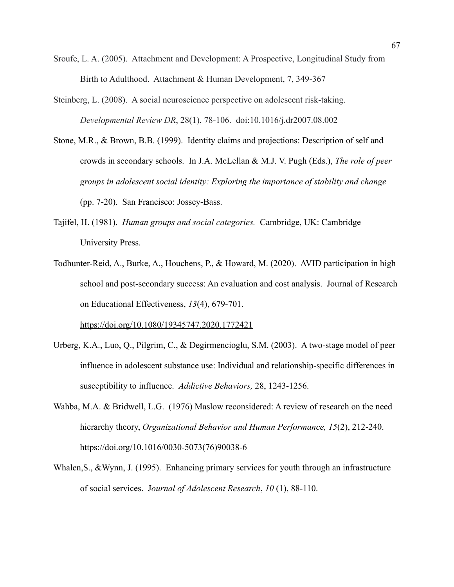- Sroufe, L. A. (2005). Attachment and Development: A Prospective, Longitudinal Study from Birth to Adulthood. Attachment & Human Development, 7, 349-367
- Steinberg, L. (2008). A social neuroscience perspective on adolescent risk-taking. *Developmental Review DR*, 28(1), 78-106. doi:10.1016/j.dr2007.08.002
- Stone, M.R., & Brown, B.B. (1999). Identity claims and projections: Description of self and crowds in secondary schools. In J.A. McLellan & M.J. V. Pugh (Eds.), *The role of peer groups in adolescent social identity: Exploring the importance of stability and change* (pp. 7-20). San Francisco: Jossey-Bass.
- Tajifel, H. (1981). *Human groups and social categories.* Cambridge, UK: Cambridge University Press.
- Todhunter-Reid, A., Burke, A., Houchens, P., & Howard, M. (2020). AVID participation in high school and post-secondary success: An evaluation and cost analysis. Journal of Research on Educational Effectiveness, *13*(4), 679-701.

<https://doi.org/10.1080/19345747.2020.1772421>

- Urberg, K.A., Luo, Q., Pilgrim, C., & Degirmencioglu, S.M. (2003). A two-stage model of peer influence in adolescent substance use: Individual and relationship-specific differences in susceptibility to influence. *Addictive Behaviors,* 28, 1243-1256.
- Wahba, M.A. & Bridwell, L.G. (1976) Maslow reconsidered: A review of research on the need hierarchy theory, *Organizational Behavior and Human Performance, 15*(2), 212-240. [https://doi.org/10.1016/0030-5073\(76\)90038-6](https://doi.org/10.1016/0030-5073(76)90038-6)
- Whalen, S., & Wynn, J. (1995). Enhancing primary services for youth through an infrastructure of social services. J*ournal of Adolescent Research*, *10* (1), 88-110.